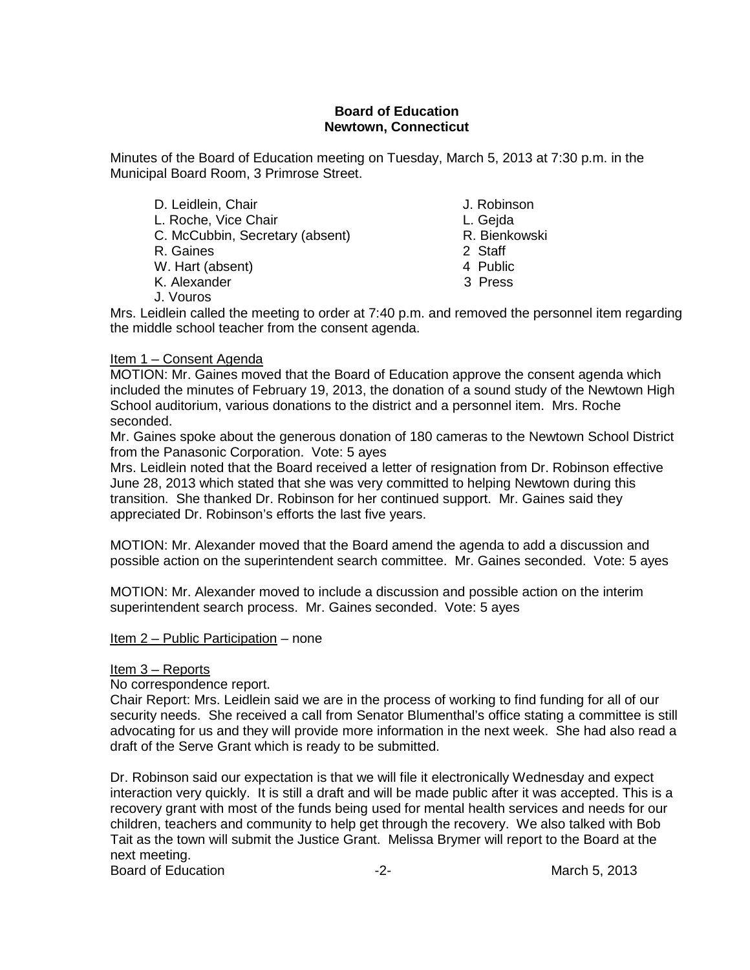# **Board of Education Newtown, Connecticut**

Minutes of the Board of Education meeting on Tuesday, March 5, 2013 at 7:30 p.m. in the Municipal Board Room, 3 Primrose Street.

- D. Leidlein, Chair **J. Robinson**
- 
- L. Roche, Vice Chair<br>C. McCubbin. Secretary (absent) **L. Gegannery C. McCubbin.** Secretary (absent) C. McCubbin, Secretary (absent) R. Bienkowski, R. Bienkowski, R. Bienkowski, R. Bienkowski, R. Bienkowski, R. Bienkowski, R. Bienkowski, R. Bienkowski, R. Bienkowski, R. Bienkowski, R. Bienkowski, R. Bienkowski, R. Bienkow
- R. Gaines
- W. Hart (absent) 4 Public
- K. Alexander 3 Press
- J. Vouros
- 
- 
- 
- 
- 
- 

Mrs. Leidlein called the meeting to order at 7:40 p.m. and removed the personnel item regarding the middle school teacher from the consent agenda.

# Item 1 – Consent Agenda

MOTION: Mr. Gaines moved that the Board of Education approve the consent agenda which included the minutes of February 19, 2013, the donation of a sound study of the Newtown High School auditorium, various donations to the district and a personnel item. Mrs. Roche seconded.

Mr. Gaines spoke about the generous donation of 180 cameras to the Newtown School District from the Panasonic Corporation. Vote: 5 ayes

Mrs. Leidlein noted that the Board received a letter of resignation from Dr. Robinson effective June 28, 2013 which stated that she was very committed to helping Newtown during this transition. She thanked Dr. Robinson for her continued support. Mr. Gaines said they appreciated Dr. Robinson's efforts the last five years.

MOTION: Mr. Alexander moved that the Board amend the agenda to add a discussion and possible action on the superintendent search committee. Mr. Gaines seconded. Vote: 5 ayes

MOTION: Mr. Alexander moved to include a discussion and possible action on the interim superintendent search process. Mr. Gaines seconded. Vote: 5 ayes

# Item 2 – Public Participation – none

# Item 3 – Reports

No correspondence report.

Chair Report: Mrs. Leidlein said we are in the process of working to find funding for all of our security needs. She received a call from Senator Blumenthal's office stating a committee is still advocating for us and they will provide more information in the next week. She had also read a draft of the Serve Grant which is ready to be submitted.

Dr. Robinson said our expectation is that we will file it electronically Wednesday and expect interaction very quickly. It is still a draft and will be made public after it was accepted. This is a recovery grant with most of the funds being used for mental health services and needs for our children, teachers and community to help get through the recovery. We also talked with Bob Tait as the town will submit the Justice Grant. Melissa Brymer will report to the Board at the next meeting.

Board of Education **-2-** All the second of Education **-2-** All the March 5, 2013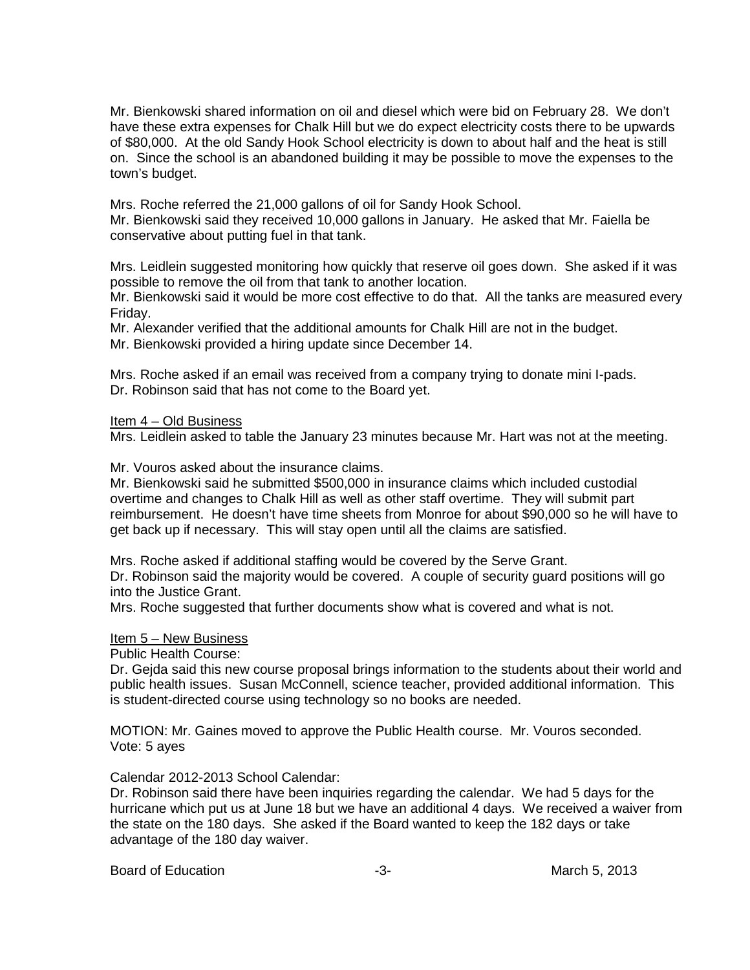Mr. Bienkowski shared information on oil and diesel which were bid on February 28. We don't have these extra expenses for Chalk Hill but we do expect electricity costs there to be upwards of \$80,000. At the old Sandy Hook School electricity is down to about half and the heat is still on. Since the school is an abandoned building it may be possible to move the expenses to the town's budget.

Mrs. Roche referred the 21,000 gallons of oil for Sandy Hook School.

Mr. Bienkowski said they received 10,000 gallons in January. He asked that Mr. Faiella be conservative about putting fuel in that tank.

Mrs. Leidlein suggested monitoring how quickly that reserve oil goes down. She asked if it was possible to remove the oil from that tank to another location.

Mr. Bienkowski said it would be more cost effective to do that. All the tanks are measured every Friday.

Mr. Alexander verified that the additional amounts for Chalk Hill are not in the budget.

Mr. Bienkowski provided a hiring update since December 14.

Mrs. Roche asked if an email was received from a company trying to donate mini I-pads. Dr. Robinson said that has not come to the Board yet.

Item 4 – Old Business

Mrs. Leidlein asked to table the January 23 minutes because Mr. Hart was not at the meeting.

Mr. Vouros asked about the insurance claims.

Mr. Bienkowski said he submitted \$500,000 in insurance claims which included custodial overtime and changes to Chalk Hill as well as other staff overtime. They will submit part reimbursement. He doesn't have time sheets from Monroe for about \$90,000 so he will have to get back up if necessary. This will stay open until all the claims are satisfied.

Mrs. Roche asked if additional staffing would be covered by the Serve Grant.

Dr. Robinson said the majority would be covered. A couple of security guard positions will go into the Justice Grant.

Mrs. Roche suggested that further documents show what is covered and what is not.

# Item 5 – New Business

Public Health Course:

Dr. Gejda said this new course proposal brings information to the students about their world and public health issues. Susan McConnell, science teacher, provided additional information. This is student-directed course using technology so no books are needed.

MOTION: Mr. Gaines moved to approve the Public Health course. Mr. Vouros seconded. Vote: 5 ayes

# Calendar 2012-2013 School Calendar:

Dr. Robinson said there have been inquiries regarding the calendar. We had 5 days for the hurricane which put us at June 18 but we have an additional 4 days. We received a waiver from the state on the 180 days. She asked if the Board wanted to keep the 182 days or take advantage of the 180 day waiver.

Board of Education  $-3$ - Board of Education  $-3$ -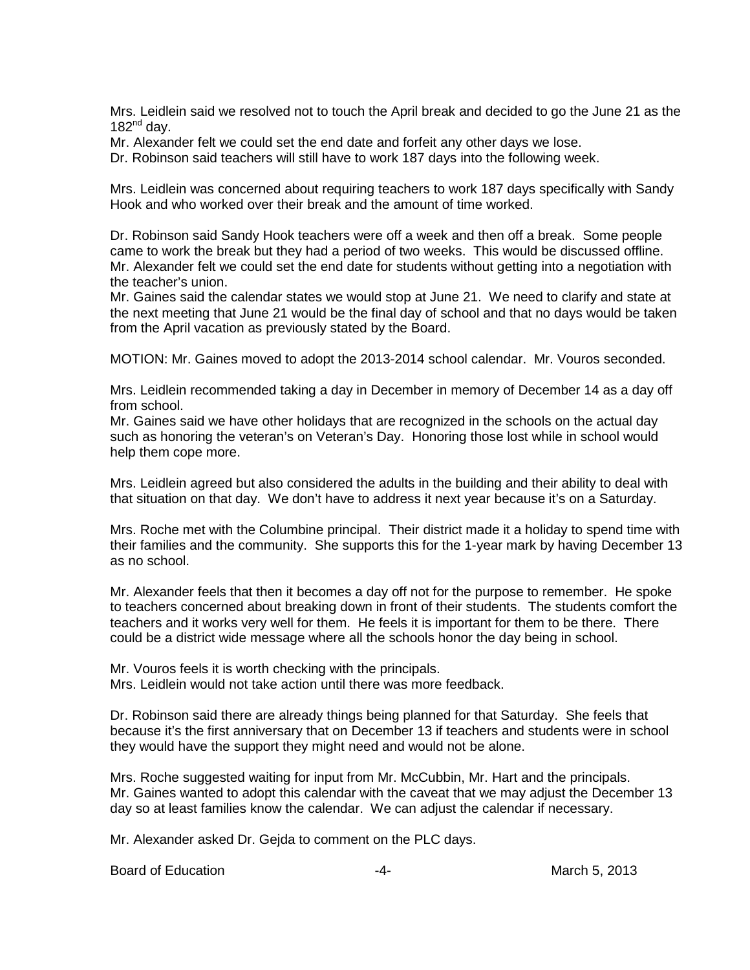Mrs. Leidlein said we resolved not to touch the April break and decided to go the June 21 as the 182 $^{\text{nd}}$  day.

Mr. Alexander felt we could set the end date and forfeit any other days we lose.

Dr. Robinson said teachers will still have to work 187 days into the following week.

Mrs. Leidlein was concerned about requiring teachers to work 187 days specifically with Sandy Hook and who worked over their break and the amount of time worked.

Dr. Robinson said Sandy Hook teachers were off a week and then off a break. Some people came to work the break but they had a period of two weeks. This would be discussed offline. Mr. Alexander felt we could set the end date for students without getting into a negotiation with the teacher's union.

Mr. Gaines said the calendar states we would stop at June 21. We need to clarify and state at the next meeting that June 21 would be the final day of school and that no days would be taken from the April vacation as previously stated by the Board.

MOTION: Mr. Gaines moved to adopt the 2013-2014 school calendar. Mr. Vouros seconded.

Mrs. Leidlein recommended taking a day in December in memory of December 14 as a day off from school.

Mr. Gaines said we have other holidays that are recognized in the schools on the actual day such as honoring the veteran's on Veteran's Day. Honoring those lost while in school would help them cope more.

Mrs. Leidlein agreed but also considered the adults in the building and their ability to deal with that situation on that day. We don't have to address it next year because it's on a Saturday.

Mrs. Roche met with the Columbine principal. Their district made it a holiday to spend time with their families and the community. She supports this for the 1-year mark by having December 13 as no school.

Mr. Alexander feels that then it becomes a day off not for the purpose to remember. He spoke to teachers concerned about breaking down in front of their students. The students comfort the teachers and it works very well for them. He feels it is important for them to be there. There could be a district wide message where all the schools honor the day being in school.

Mr. Vouros feels it is worth checking with the principals. Mrs. Leidlein would not take action until there was more feedback.

Dr. Robinson said there are already things being planned for that Saturday. She feels that because it's the first anniversary that on December 13 if teachers and students were in school they would have the support they might need and would not be alone.

Mrs. Roche suggested waiting for input from Mr. McCubbin, Mr. Hart and the principals. Mr. Gaines wanted to adopt this calendar with the caveat that we may adjust the December 13 day so at least families know the calendar. We can adjust the calendar if necessary.

Mr. Alexander asked Dr. Gejda to comment on the PLC days.

Board of Education  $A$ -4- Board of Education  $A$ -4-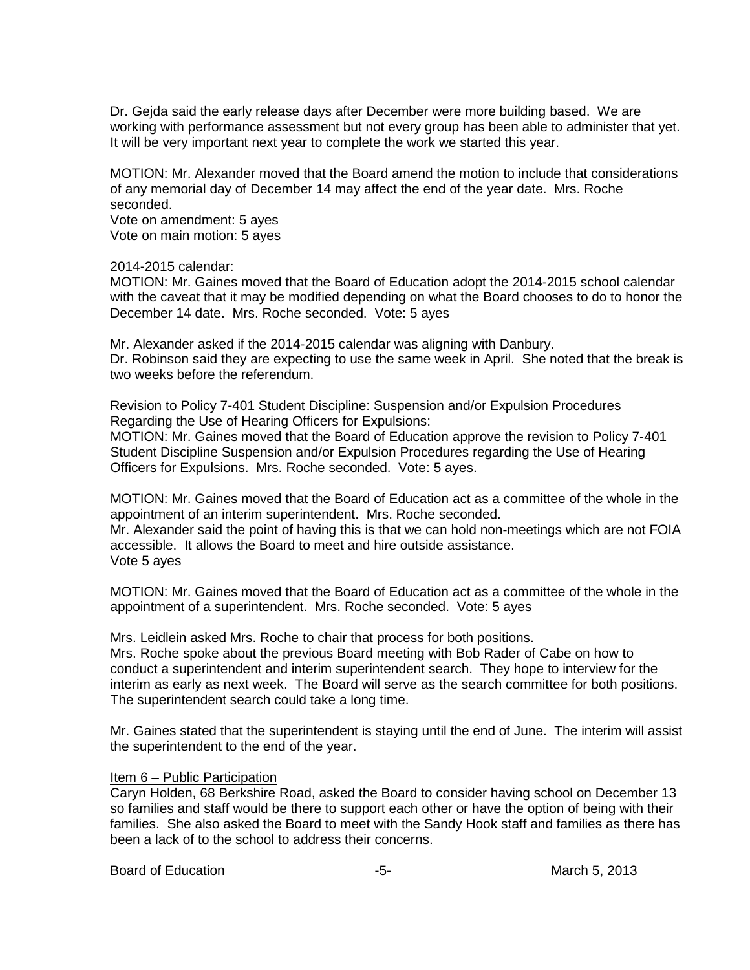Dr. Gejda said the early release days after December were more building based. We are working with performance assessment but not every group has been able to administer that yet. It will be very important next year to complete the work we started this year.

MOTION: Mr. Alexander moved that the Board amend the motion to include that considerations of any memorial day of December 14 may affect the end of the year date. Mrs. Roche seconded.

Vote on amendment: 5 ayes Vote on main motion: 5 ayes

2014-2015 calendar:

MOTION: Mr. Gaines moved that the Board of Education adopt the 2014-2015 school calendar with the caveat that it may be modified depending on what the Board chooses to do to honor the December 14 date. Mrs. Roche seconded. Vote: 5 ayes

Mr. Alexander asked if the 2014-2015 calendar was aligning with Danbury. Dr. Robinson said they are expecting to use the same week in April. She noted that the break is two weeks before the referendum.

Revision to Policy 7-401 Student Discipline: Suspension and/or Expulsion Procedures Regarding the Use of Hearing Officers for Expulsions:

MOTION: Mr. Gaines moved that the Board of Education approve the revision to Policy 7-401 Student Discipline Suspension and/or Expulsion Procedures regarding the Use of Hearing Officers for Expulsions. Mrs. Roche seconded. Vote: 5 ayes.

MOTION: Mr. Gaines moved that the Board of Education act as a committee of the whole in the appointment of an interim superintendent. Mrs. Roche seconded.

Mr. Alexander said the point of having this is that we can hold non-meetings which are not FOIA accessible. It allows the Board to meet and hire outside assistance. Vote 5 ayes

MOTION: Mr. Gaines moved that the Board of Education act as a committee of the whole in the appointment of a superintendent. Mrs. Roche seconded. Vote: 5 ayes

Mrs. Leidlein asked Mrs. Roche to chair that process for both positions. Mrs. Roche spoke about the previous Board meeting with Bob Rader of Cabe on how to conduct a superintendent and interim superintendent search. They hope to interview for the interim as early as next week. The Board will serve as the search committee for both positions. The superintendent search could take a long time.

Mr. Gaines stated that the superintendent is staying until the end of June. The interim will assist the superintendent to the end of the year.

# Item 6 – Public Participation

Caryn Holden, 68 Berkshire Road, asked the Board to consider having school on December 13 so families and staff would be there to support each other or have the option of being with their families. She also asked the Board to meet with the Sandy Hook staff and families as there has been a lack of to the school to address their concerns.

Board of Education  $-5$ - Board of Education  $-5$ -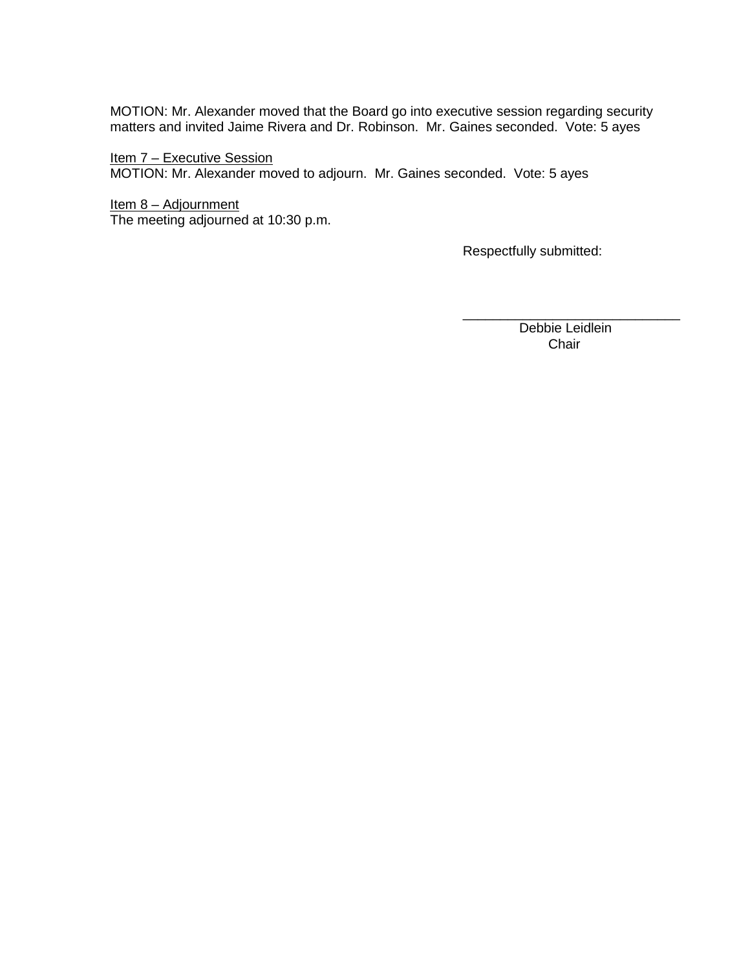MOTION: Mr. Alexander moved that the Board go into executive session regarding security matters and invited Jaime Rivera and Dr. Robinson. Mr. Gaines seconded. Vote: 5 ayes

Item 7 - Executive Session MOTION: Mr. Alexander moved to adjourn. Mr. Gaines seconded. Vote: 5 ayes

<u> Item 8 – Adjournment</u> The meeting adjourned at 10:30 p.m.

Respectfully submitted:

 Debbie Leidlein **Chair** 

\_\_\_\_\_\_\_\_\_\_\_\_\_\_\_\_\_\_\_\_\_\_\_\_\_\_\_\_\_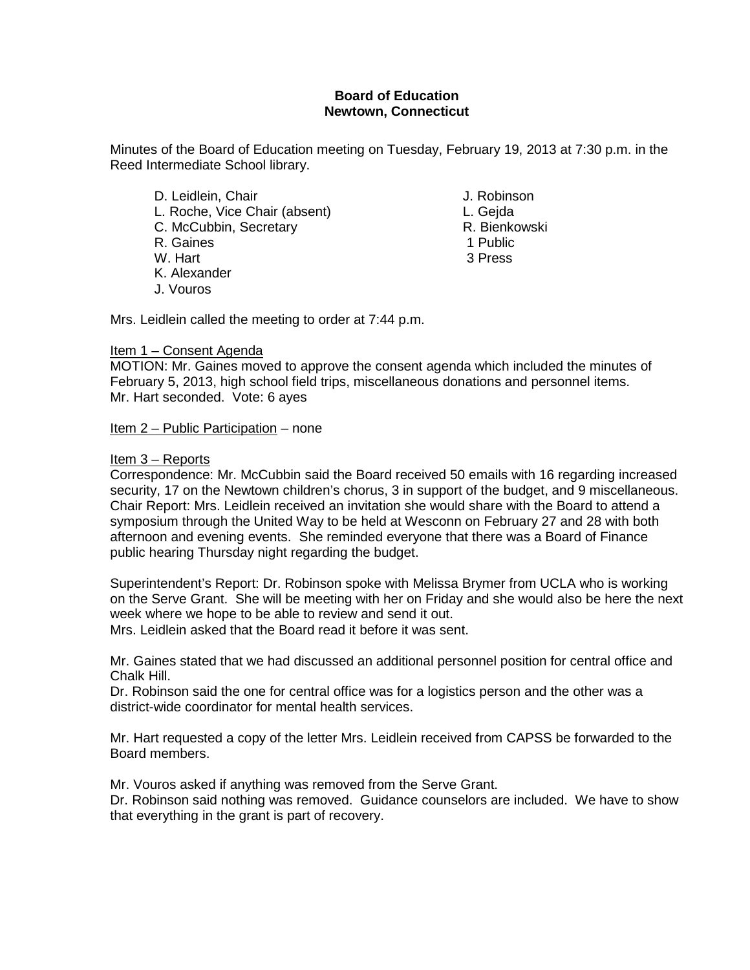# **Board of Education Newtown, Connecticut**

Minutes of the Board of Education meeting on Tuesday, February 19, 2013 at 7:30 p.m. in the Reed Intermediate School library.

D. Leidlein, Chair **J. Robinson** L. Roche, Vice Chair (absent) L. Gejda C. McCubbin, Secretary **R. Bienkowski**<br>R. Gaines 1 Public R. Gaines W. Hart 3 Press K. Alexander J. Vouros

- 
- 
- 

Mrs. Leidlein called the meeting to order at 7:44 p.m.

# Item 1 – Consent Agenda

MOTION: Mr. Gaines moved to approve the consent agenda which included the minutes of February 5, 2013, high school field trips, miscellaneous donations and personnel items. Mr. Hart seconded. Vote: 6 ayes

Item 2 – Public Participation – none

# Item 3 – Reports

Correspondence: Mr. McCubbin said the Board received 50 emails with 16 regarding increased security, 17 on the Newtown children's chorus, 3 in support of the budget, and 9 miscellaneous. Chair Report: Mrs. Leidlein received an invitation she would share with the Board to attend a symposium through the United Way to be held at Wesconn on February 27 and 28 with both afternoon and evening events. She reminded everyone that there was a Board of Finance public hearing Thursday night regarding the budget.

Superintendent's Report: Dr. Robinson spoke with Melissa Brymer from UCLA who is working on the Serve Grant. She will be meeting with her on Friday and she would also be here the next week where we hope to be able to review and send it out.

Mrs. Leidlein asked that the Board read it before it was sent.

Mr. Gaines stated that we had discussed an additional personnel position for central office and Chalk Hill.

Dr. Robinson said the one for central office was for a logistics person and the other was a district-wide coordinator for mental health services.

Mr. Hart requested a copy of the letter Mrs. Leidlein received from CAPSS be forwarded to the Board members.

Mr. Vouros asked if anything was removed from the Serve Grant.

Dr. Robinson said nothing was removed. Guidance counselors are included. We have to show that everything in the grant is part of recovery.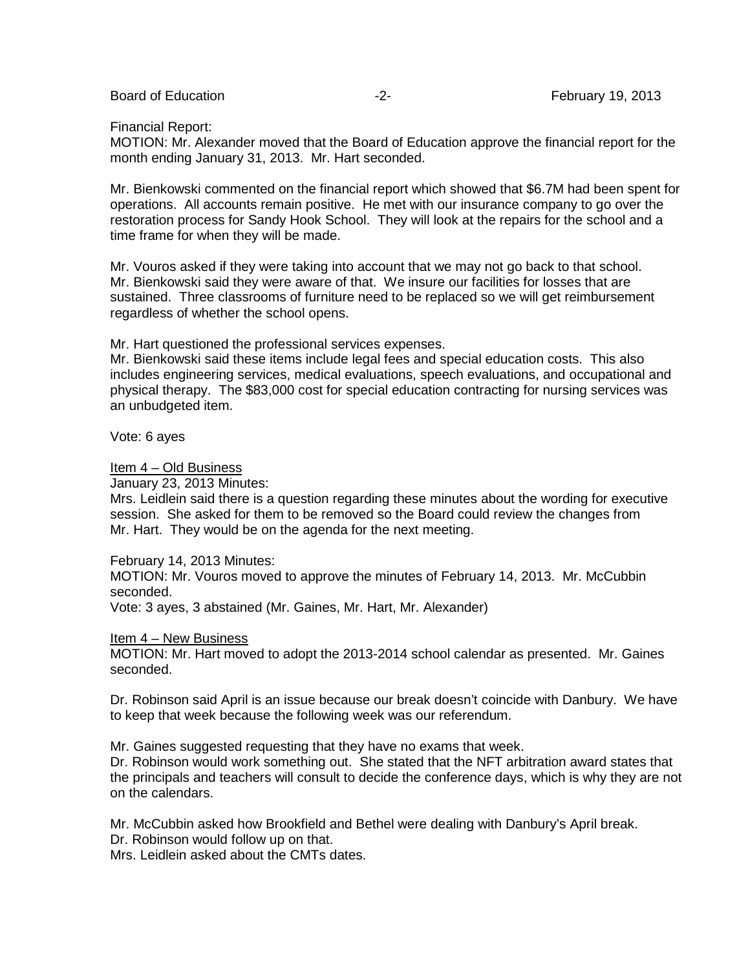Board of Education **Contract Contract Contract Contract Contract Contract Contract Contract Contract Contract Contract Contract Contract Contract Contract Contract Contract Contract Contract Contract Contract Contract Cont** 

#### Financial Report:

MOTION: Mr. Alexander moved that the Board of Education approve the financial report for the month ending January 31, 2013. Mr. Hart seconded.

Mr. Bienkowski commented on the financial report which showed that \$6.7M had been spent for operations. All accounts remain positive. He met with our insurance company to go over the restoration process for Sandy Hook School. They will look at the repairs for the school and a time frame for when they will be made.

Mr. Vouros asked if they were taking into account that we may not go back to that school. Mr. Bienkowski said they were aware of that. We insure our facilities for losses that are sustained. Three classrooms of furniture need to be replaced so we will get reimbursement regardless of whether the school opens.

Mr. Hart questioned the professional services expenses.

Mr. Bienkowski said these items include legal fees and special education costs. This also includes engineering services, medical evaluations, speech evaluations, and occupational and physical therapy. The \$83,000 cost for special education contracting for nursing services was an unbudgeted item.

Vote: 6 ayes

Item 4 – Old Business

January 23, 2013 Minutes:

Mrs. Leidlein said there is a question regarding these minutes about the wording for executive session. She asked for them to be removed so the Board could review the changes from Mr. Hart. They would be on the agenda for the next meeting.

February 14, 2013 Minutes:

MOTION: Mr. Vouros moved to approve the minutes of February 14, 2013. Mr. McCubbin seconded.

Vote: 3 ayes, 3 abstained (Mr. Gaines, Mr. Hart, Mr. Alexander)

Item 4 – New Business

MOTION: Mr. Hart moved to adopt the 2013-2014 school calendar as presented. Mr. Gaines seconded.

Dr. Robinson said April is an issue because our break doesn't coincide with Danbury. We have to keep that week because the following week was our referendum.

Mr. Gaines suggested requesting that they have no exams that week.

Dr. Robinson would work something out. She stated that the NFT arbitration award states that the principals and teachers will consult to decide the conference days, which is why they are not on the calendars.

Mr. McCubbin asked how Brookfield and Bethel were dealing with Danbury's April break.

Dr. Robinson would follow up on that.

Mrs. Leidlein asked about the CMTs dates.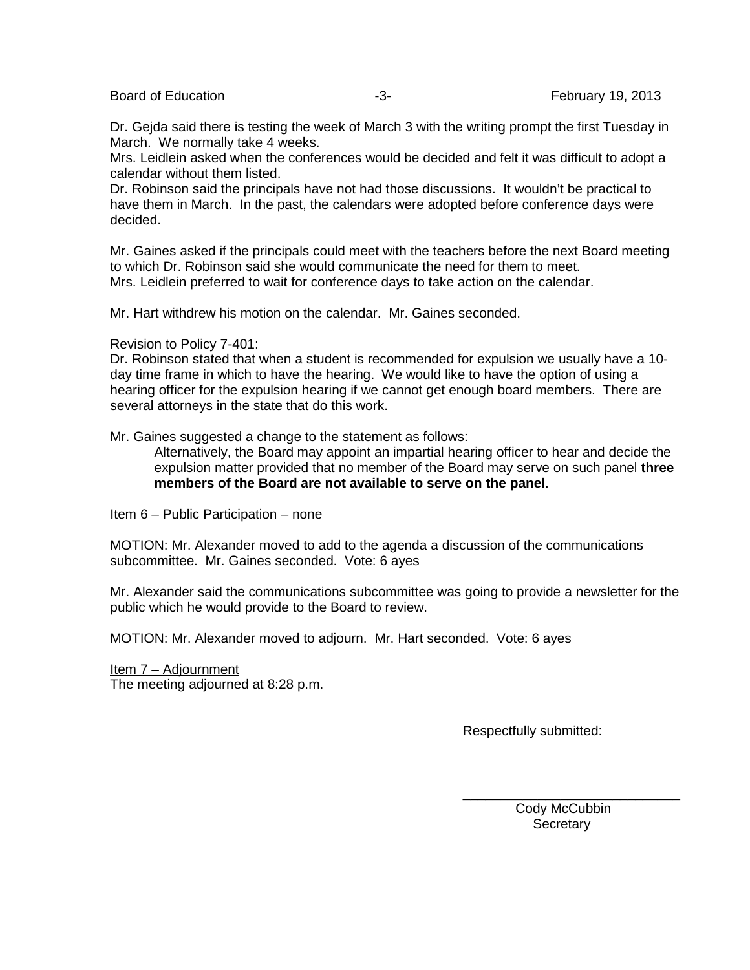Board of Education **-2-** February 19, 2013

Dr. Gejda said there is testing the week of March 3 with the writing prompt the first Tuesday in March. We normally take 4 weeks.

Mrs. Leidlein asked when the conferences would be decided and felt it was difficult to adopt a calendar without them listed.

Dr. Robinson said the principals have not had those discussions. It wouldn't be practical to have them in March. In the past, the calendars were adopted before conference days were decided.

Mr. Gaines asked if the principals could meet with the teachers before the next Board meeting to which Dr. Robinson said she would communicate the need for them to meet. Mrs. Leidlein preferred to wait for conference days to take action on the calendar.

Mr. Hart withdrew his motion on the calendar. Mr. Gaines seconded.

Revision to Policy 7-401:

Dr. Robinson stated that when a student is recommended for expulsion we usually have a 10 day time frame in which to have the hearing. We would like to have the option of using a hearing officer for the expulsion hearing if we cannot get enough board members. There are several attorneys in the state that do this work.

Mr. Gaines suggested a change to the statement as follows:

Alternatively, the Board may appoint an impartial hearing officer to hear and decide the expulsion matter provided that no member of the Board may serve on such panel **three members of the Board are not available to serve on the panel**.

Item 6 – Public Participation – none

MOTION: Mr. Alexander moved to add to the agenda a discussion of the communications subcommittee. Mr. Gaines seconded. Vote: 6 ayes

Mr. Alexander said the communications subcommittee was going to provide a newsletter for the public which he would provide to the Board to review.

MOTION: Mr. Alexander moved to adjourn. Mr. Hart seconded. Vote: 6 ayes

Item 7 – Adjournment The meeting adjourned at 8:28 p.m.

Respectfully submitted:

\_\_\_\_\_\_\_\_\_\_\_\_\_\_\_\_\_\_\_\_\_\_\_\_\_\_\_\_\_ Cody McCubbin **Secretary**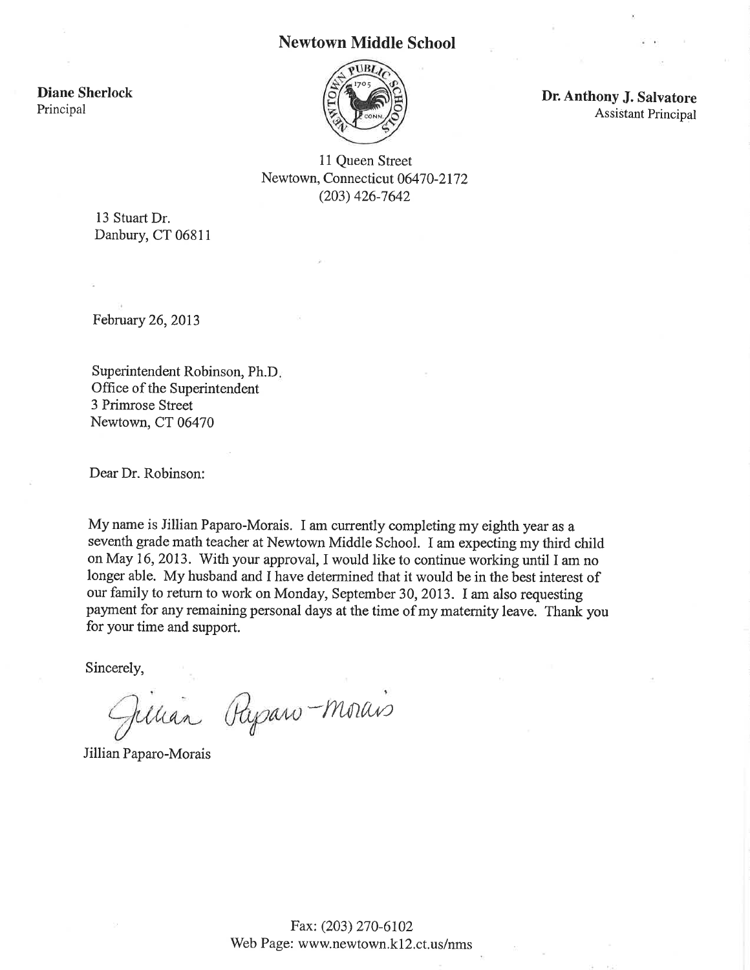# **Newtown Middle School**



Dr. Anthony J. Salvatore **Assistant Principal** 

11 Queen Street Newtown, Connecticut 06470-2172  $(203)$  426-7642

13 Stuart Dr. Danbury, CT 06811

February 26, 2013

Superintendent Robinson, Ph.D. Office of the Superintendent 3 Primrose Street Newtown, CT 06470

Dear Dr. Robinson:

My name is Jillian Paparo-Morais. I am currently completing my eighth year as a seventh grade math teacher at Newtown Middle School. I am expecting my third child on May 16, 2013. With your approval, I would like to continue working until I am no longer able. My husband and I have determined that it would be in the best interest of our family to return to work on Monday, September 30, 2013. I am also requesting payment for any remaining personal days at the time of my maternity leave. Thank you for your time and support.

Sincerely,

penar Paparo-morais

Jillian Paparo-Morais

**Diane Sherlock** Principal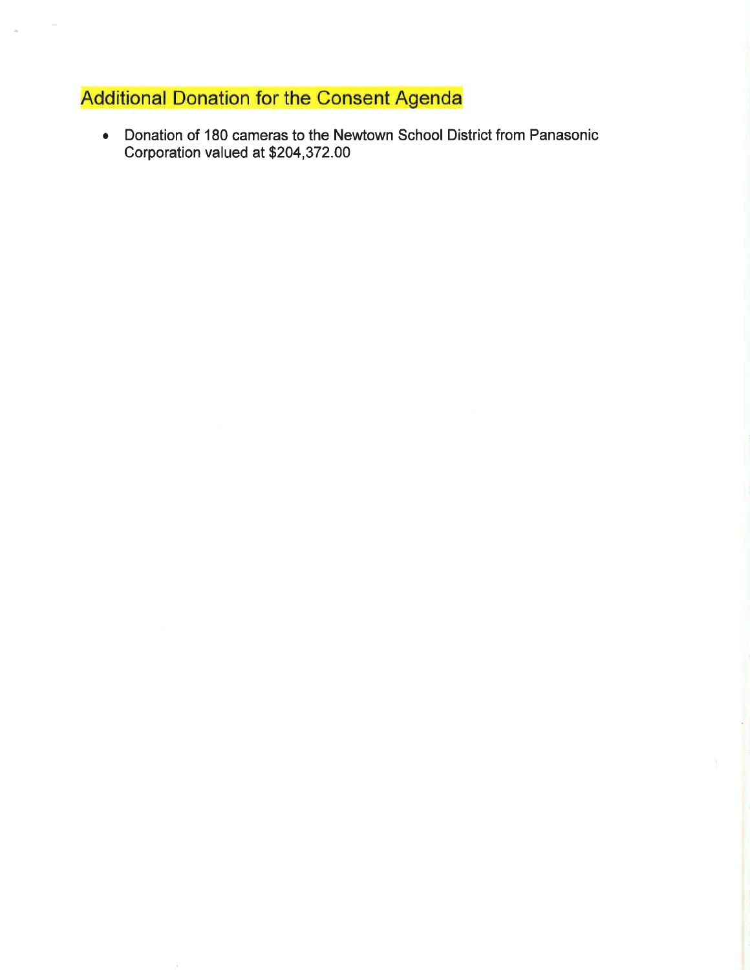# **Additional Donation for the Consent Agenda**

• Donation of 180 cameras to the Newtown School District from Panasonic Corporation valued at \$204,372.00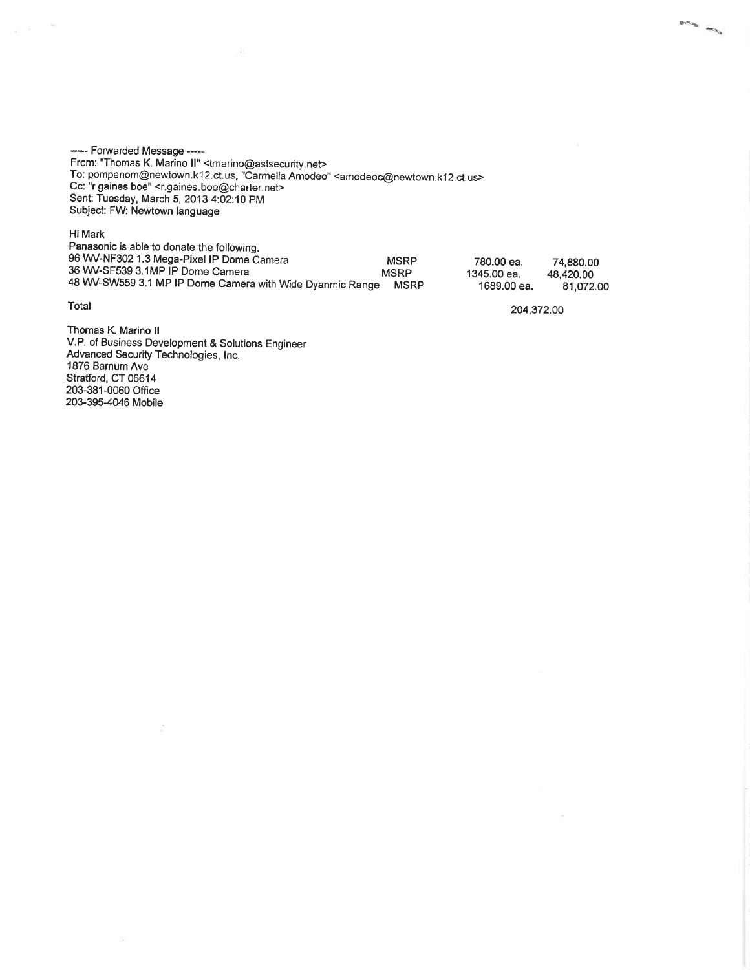----- Forwarded Message -----From: "Thomas K. Marino II" <tmarino@astsecurity.net><br>To: pompanom@newtown.k12.ct.us, "Carmella Amodeo" <amodeoc@newtown.k12.ct.us><br>Cc: "r gaines boe" <r.gaines.boe@charter.net><br>Sent: Tuesday, March 5, 2013 4:02:10 PM Subject: FW: Newtown language

ú.

Hi Mark

 $\overline{\omega_1}$ 

Panasonic is able to donate the following. 96 WV-NF302 1.3 Mega-Pixel IP Dome Camera **MSRP** 780.00 ea. 74,880.00 36 WV-SF539 3.1MP IP Dome Camera **MSRP** 1345.00 ea. 48,420.00 48 WV-SW559 3.1 MP IP Dome Camera with Wide Dyanmic Range **MSRP** 1689.00 ea. 81,072.00

Total

204,372.00

and and

Thomas K. Marino II V.P. of Business Development & Solutions Engineer Advanced Security Technologies, Inc. 1876 Barnum Ave Stratford, CT 06614 203-381-0060 Office 203-395-4046 Mobile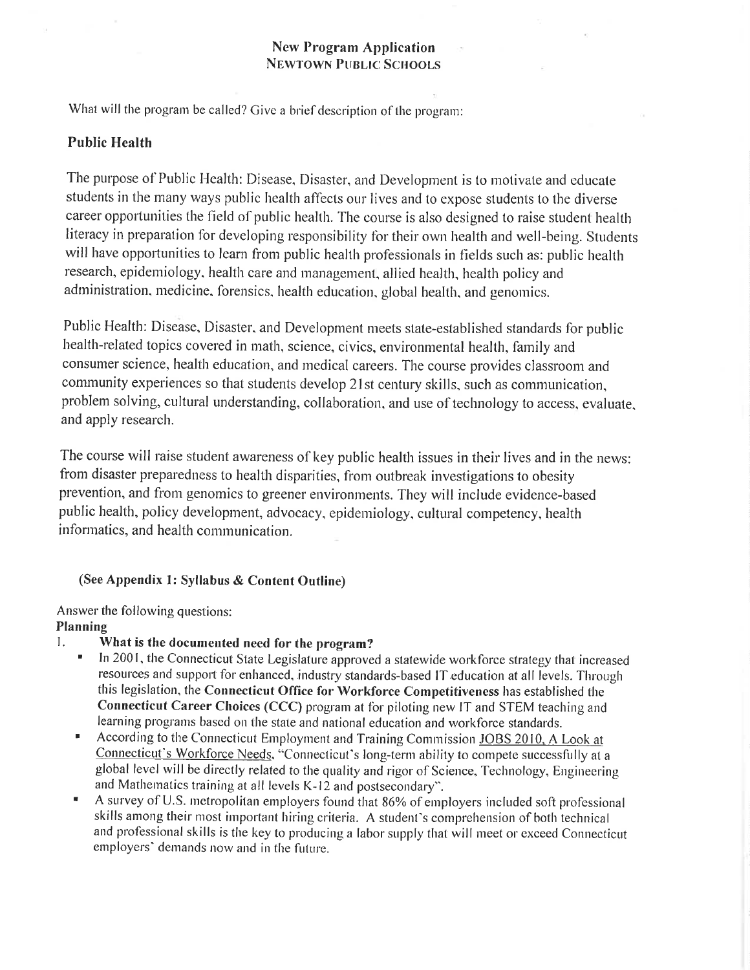What will the program be called? Give a brief description of the program:

# **Public Health**

The purpose of Public Health: Disease, Disaster, and Development is to motivate and educate students in the many ways public health affects our lives and to expose students to the diverse career opportunities the field of public health. The course is also designed to raise student health literacy in preparation for developing responsibility for their own health and well-being. Students will have opportunities to learn from public health professionals in fields such as: public health research, epidemiology, health care and management, allied health, health policy and administration, medicine, forensics, health education, global health, and genomics.

Public Health: Disease, Disaster, and Development meets state-established standards for public health-related topics covered in math, science, civics, environmental health, family and consumer science, health education, and medical careers. The course provides classroom and community experiences so that students develop 21st century skills, such as communication, problem solving, cultural understanding, collaboration, and use of technology to access, evaluate, and apply research.

The course will raise student awareness of key public health issues in their lives and in the news: from disaster preparedness to health disparities, from outbreak investigations to obesity prevention, and from genomics to greener environments. They will include evidence-based public health, policy development, advocacy, epidemiology, cultural competency, health informatics, and health communication.

# (See Appendix 1: Syllabus & Content Outline)

Answer the following questions:

#### **Planning** 1.

- What is the documented need for the program?
	- In 2001, the Connecticut State Legislature approved a statewide workforce strategy that increased resources and support for enhanced, industry standards-based IT education at all levels. Through this legislation, the Connecticut Office for Workforce Competitiveness has established the Connecticut Career Choices (CCC) program at for piloting new IT and STEM teaching and learning programs based on the state and national education and workforce standards.
	- g. According to the Connecticut Employment and Training Commission JOBS 2010, A Look at Connecticut's Workforce Needs, "Connecticut's long-term ability to compete successfully at a global level will be directly related to the quality and rigor of Science, Technology, Engineering and Mathematics training at all levels K-12 and postsecondary".
- $\blacksquare$ A survey of U.S. metropolitan employers found that 86% of employers included soft professional skills among their most important hiring criteria. A student's comprehension of both technical and professional skills is the key to producing a labor supply that will meet or exceed Connecticut employers' demands now and in the future.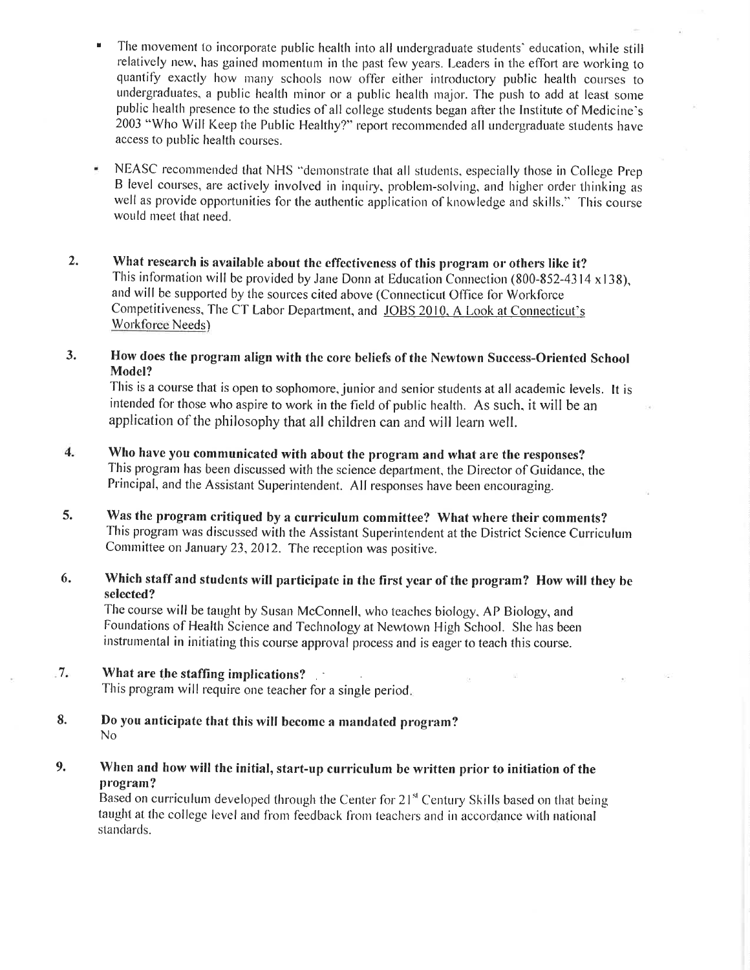- $\blacksquare$ The movement to incorporate public health into all undergraduate students' education, while still relatively new, has gained momentum in the past few years. Leaders in the effort are working to quantify exactly how many schools now offer either introductory public health courses to undergraduates, a public health minor or a public health major. The push to add at least some public health presence to the studies of all college students began after the Institute of Medicine's 2003 "Who Will Keep the Public Healthy?" report recommended all undergraduate students have access to public health courses.
- NEASC recommended that NHS "demonstrate that all students, especially those in College Prep B level courses, are actively involved in inquiry, problem-solving, and higher order thinking as well as provide opportunities for the authentic application of knowledge and skills." This course would meet that need.
- $2.$ What research is available about the effectiveness of this program or others like it? This information will be provided by Jane Donn at Education Connection (800-852-4314  $x138$ ), and will be supported by the sources cited above (Connecticut Office for Workforce Competitiveness, The CT Labor Department, and JOBS 2010, A Look at Connecticut's Workforce Needs)
- 3. How does the program align with the core beliefs of the Newtown Success-Oriented School Model?

This is a course that is open to sophomore, junior and senior students at all academic levels. It is intended for those who aspire to work in the field of public health. As such, it will be an application of the philosophy that all children can and will learn well.

- $\overline{4}$ . Who have you communicated with about the program and what are the responses? This program has been discussed with the science department, the Director of Guidance, the Principal, and the Assistant Superintendent. All responses have been encouraging.
- 5. Was the program critiqued by a curriculum committee? What where their comments? This program was discussed with the Assistant Superintendent at the District Science Curriculum Committee on January 23, 2012. The reception was positive.
- 6. Which staff and students will participate in the first year of the program? How will they be selected?

The course will be taught by Susan McConnell, who teaches biology, AP Biology, and Foundations of Health Science and Technology at Newtown High School. She has been instrumental in initiating this course approval process and is eager to teach this course.

 $.7.$ What are the staffing implications?

This program will require one teacher for a single period.

- 8. Do you anticipate that this will become a mandated program?  $No$
- 9. When and how will the initial, start-up curriculum be written prior to initiation of the program?

Based on curriculum developed through the Center for 21<sup>st</sup> Century Skills based on that being taught at the college level and from feedback from teachers and in accordance with national standards.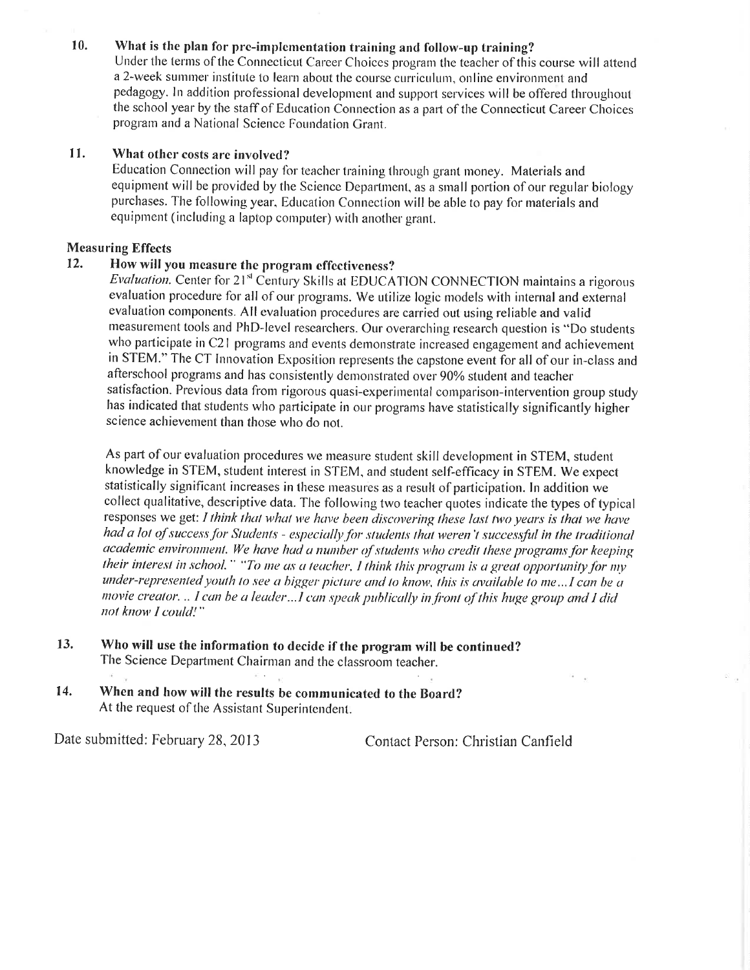#### 10. What is the plan for pre-implementation training and follow-up training?

Under the terms of the Connecticut Career Choices program the teacher of this course will attend a 2-week summer institute to learn about the course curriculum, online environment and pedagogy. In addition professional development and support services will be offered throughout the school year by the staff of Education Connection as a part of the Connecticut Career Choices program and a National Science Foundation Grant.

#### 11. What other costs are involved?

Education Connection will pay for teacher training through grant money. Materials and equipment will be provided by the Science Department, as a small portion of our regular biology purchases. The following year, Education Connection will be able to pay for materials and equipment (including a laptop computer) with another grant.

# **Measuring Effects**

#### 12. How will you measure the program effectiveness?

Evaluation. Center for 21<sup>st</sup> Century Skills at EDUCATION CONNECTION maintains a rigorous evaluation procedure for all of our programs. We utilize logic models with internal and external evaluation components. All evaluation procedures are carried out using reliable and valid measurement tools and PhD-level researchers. Our overarching research question is "Do students who participate in C21 programs and events demonstrate increased engagement and achievement in STEM." The CT Innovation Exposition represents the capstone event for all of our in-class and afterschool programs and has consistently demonstrated over 90% student and teacher satisfaction. Previous data from rigorous quasi-experimental comparison-intervention group study has indicated that students who participate in our programs have statistically significantly higher science achievement than those who do not.

As part of our evaluation procedures we measure student skill development in STEM, student knowledge in STEM, student interest in STEM, and student self-efficacy in STEM. We expect statistically significant increases in these measures as a result of participation. In addition we collect qualitative, descriptive data. The following two teacher quotes indicate the types of typical responses we get: I think that what we have been discovering these last two years is that we have had a lot of success for Students - especially for students that weren't successful in the traditional academic environment. We have had a number of students who credit these programs for keeping their interest in school." "To me as a teacher, I think this program is a great opportunity for my under-represented youth to see a bigger picture and to know, this is available to me...I can be a movie creator. .. I can be a leader...I can speak publically in front of this huge group and I did not know I could!"

- 13. Who will use the information to decide if the program will be continued? The Science Department Chairman and the classroom teacher.
- 14. When and how will the results be communicated to the Board? At the request of the Assistant Superintendent.

 $\overline{\mathcal{M}}$  .

Date submitted: February 28, 2013

Contact Person: Christian Canfield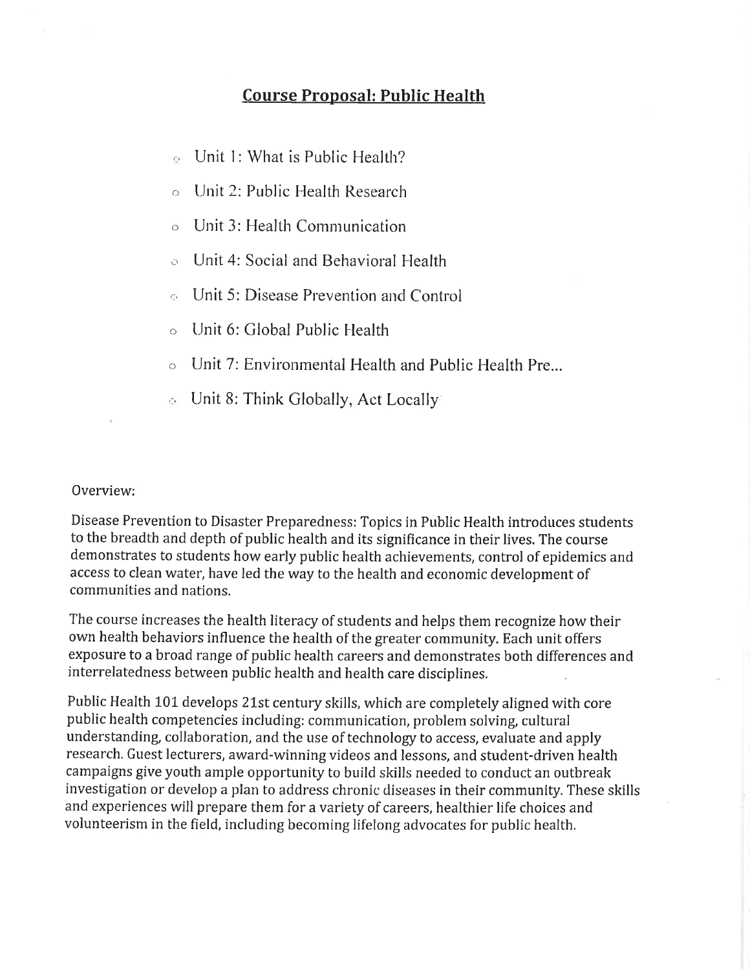# **Course Proposal: Public Health**

- Unit 1: What is Public Health?  $\mathcal{C}(\mathfrak{a})$
- Unit 2: Public Health Research  $\bigcap$
- Unit 3: Health Communication  $\circ$
- Unit 4: Social and Behavioral Health in.
- Unit 5: Disease Prevention and Control  $\mathcal{L}^{\mathcal{L}}$
- Unit 6: Global Public Health  $\triangle$
- Unit 7: Environmental Health and Public Health Pre...  $\circ$
- Unit 8: Think Globally, Act Locally Õ.

#### Overview:

Disease Prevention to Disaster Preparedness: Topics in Public Health introduces students to the breadth and depth of public health and its significance in their lives. The course demonstrates to students how early public health achievements, control of epidemics and access to clean water, have led the way to the health and economic development of communities and nations.

The course increases the health literacy of students and helps them recognize how their own health behaviors influence the health of the greater community. Each unit offers exposure to a broad range of public health careers and demonstrates both differences and interrelatedness between public health and health care disciplines.

Public Health 101 develops 21st century skills, which are completely aligned with core public health competencies including: communication, problem solving, cultural understanding, collaboration, and the use of technology to access, evaluate and apply research. Guest lecturers, award-winning videos and lessons, and student-driven health campaigns give youth ample opportunity to build skills needed to conduct an outbreak investigation or develop a plan to address chronic diseases in their community. These skills and experiences will prepare them for a variety of careers, healthier life choices and volunteerism in the field, including becoming lifelong advocates for public health.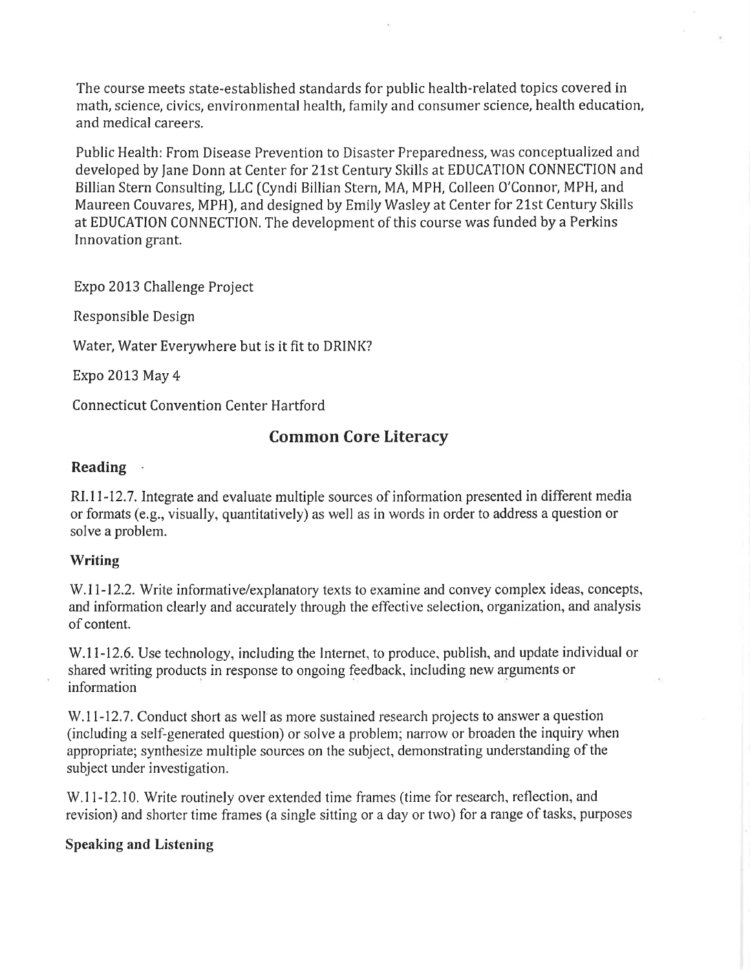The course meets state-established standards for public health-related topics covered in math, science, civics, environmental health, family and consumer science, health education, and medical careers.

Public Health: From Disease Prevention to Disaster Preparedness, was conceptualized and developed by Jane Donn at Center for 21st Century Skills at EDUCATION CONNECTION and Billian Stern Consulting, LLC (Cyndi Billian Stern, MA, MPH, Colleen O'Connor, MPH, and Maureen Couvares, MPH), and designed by Emily Wasley at Center for 21st Century Skills at EDUCATION CONNECTION. The development of this course was funded by a Perkins Innovation grant.

Expo 2013 Challenge Project

Responsible Design

Water, Water Everywhere but is it fit to DRINK?

Expo 2013 May 4

**Connecticut Convention Center Hartford** 

# **Common Core Literacy**

# Reading

RI.11-12.7. Integrate and evaluate multiple sources of information presented in different media or formats (e.g., visually, quantitatively) as well as in words in order to address a question or solve a problem.

# Writing

W.11-12.2. Write informative/explanatory texts to examine and convey complex ideas, concepts, and information clearly and accurately through the effective selection, organization, and analysis of content.

W.11-12.6. Use technology, including the Internet, to produce, publish, and update individual or shared writing products in response to ongoing feedback, including new arguments or information

W.11-12.7. Conduct short as well as more sustained research projects to answer a question (including a self-generated question) or solve a problem; narrow or broaden the inquiry when appropriate; synthesize multiple sources on the subject, demonstrating understanding of the subject under investigation.

W.11-12.10. Write routinely over extended time frames (time for research, reflection, and revision) and shorter time frames (a single sitting or a day or two) for a range of tasks, purposes

# **Speaking and Listening**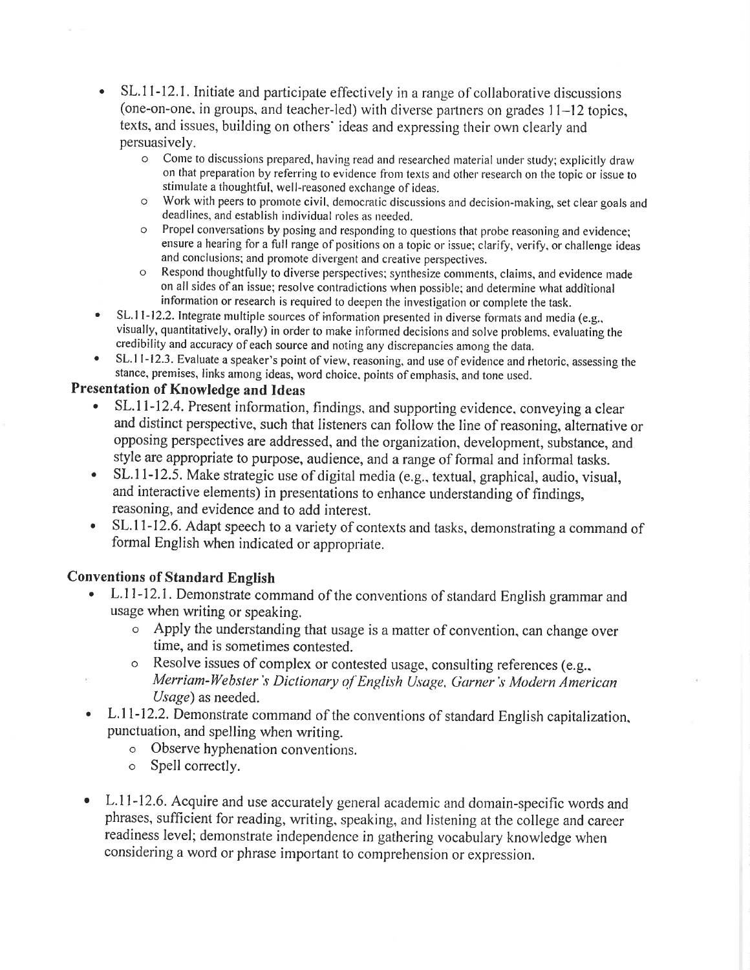- SL.11-12.1. Initiate and participate effectively in a range of collaborative discussions  $\bullet$ (one-on-one, in groups, and teacher-led) with diverse partners on grades 11–12 topics, texts, and issues, building on others' ideas and expressing their own clearly and persuasively.
	- Come to discussions prepared, having read and researched material under study; explicitly draw  $\circ$ on that preparation by referring to evidence from texts and other research on the topic or issue to stimulate a thoughtful, well-reasoned exchange of ideas.
	- Work with peers to promote civil, democratic discussions and decision-making, set clear goals and  $\circ$ deadlines, and establish individual roles as needed.
	- $\circ$ Propel conversations by posing and responding to questions that probe reasoning and evidence; ensure a hearing for a full range of positions on a topic or issue; clarify, verify, or challenge ideas and conclusions; and promote divergent and creative perspectives.
	- Respond thoughtfully to diverse perspectives; synthesize comments, claims, and evidence made  $\circ$ on all sides of an issue; resolve contradictions when possible; and determine what additional information or research is required to deepen the investigation or complete the task.
- SL.11-12.2. Integrate multiple sources of information presented in diverse formats and media (e.g.,  $\bullet$ visually, quantitatively, orally) in order to make informed decisions and solve problems, evaluating the credibility and accuracy of each source and noting any discrepancies among the data.
- SL.11-12.3. Evaluate a speaker's point of view, reasoning, and use of evidence and rhetoric, assessing the stance, premises, links among ideas, word choice, points of emphasis, and tone used.

# Presentation of Knowledge and Ideas

- SL.11-12.4. Present information, findings, and supporting evidence, conveying a clear and distinct perspective, such that listeners can follow the line of reasoning, alternative or opposing perspectives are addressed, and the organization, development, substance, and style are appropriate to purpose, audience, and a range of formal and informal tasks.
- SL.11-12.5. Make strategic use of digital media (e.g., textual, graphical, audio, visual,  $\bullet$ and interactive elements) in presentations to enhance understanding of findings, reasoning, and evidence and to add interest.
- SL.11-12.6. Adapt speech to a variety of contexts and tasks, demonstrating a command of  $\bullet$ formal English when indicated or appropriate.

# **Conventions of Standard English**

- L.11-12.1. Demonstrate command of the conventions of standard English grammar and usage when writing or speaking.
	- o Apply the understanding that usage is a matter of convention, can change over time, and is sometimes contested.
	- o Resolve issues of complex or contested usage, consulting references (e.g., Merriam-Webster's Dictionary of English Usage, Garner's Modern American Usage) as needed.
- L.11-12.2. Demonstrate command of the conventions of standard English capitalization,  $\bullet$ punctuation, and spelling when writing.
	- o Observe hyphenation conventions.
	- Spell correctly.  $\circ$
- L.11-12.6. Acquire and use accurately general academic and domain-specific words and phrases, sufficient for reading, writing, speaking, and listening at the college and career readiness level; demonstrate independence in gathering vocabulary knowledge when considering a word or phrase important to comprehension or expression.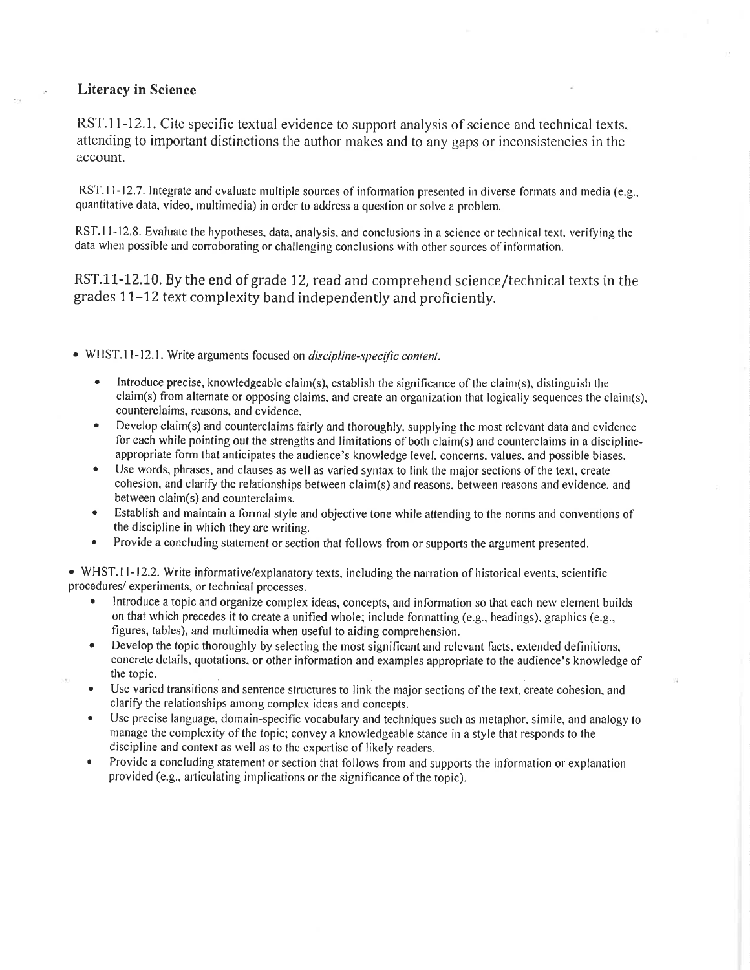# **Literacy in Science**

RST.11-12.1. Cite specific textual evidence to support analysis of science and technical texts, attending to important distinctions the author makes and to any gaps or inconsistencies in the account.

RST.11-12.7. Integrate and evaluate multiple sources of information presented in diverse formats and media (e.g., quantitative data, video, multimedia) in order to address a question or solve a problem.

RST.11-12.8. Evaluate the hypotheses, data, analysis, and conclusions in a science or technical text, verifying the data when possible and corroborating or challenging conclusions with other sources of information.

RST.11-12.10. By the end of grade 12, read and comprehend science/technical texts in the grades 11–12 text complexity band independently and proficiently.

• WHST.11-12.1. Write arguments focused on *discipline-specific content*.

- $\bullet$ Introduce precise, knowledgeable claim(s), establish the significance of the claim(s), distinguish the claim(s) from alternate or opposing claims, and create an organization that logically sequences the claim(s), counterclaims, reasons, and evidence.
- Develop claim(s) and counterclaims fairly and thoroughly, supplying the most relevant data and evidence  $\bullet$ for each while pointing out the strengths and limitations of both claim(s) and counterclaims in a disciplineappropriate form that anticipates the audience's knowledge level, concerns, values, and possible biases.
- Use words, phrases, and clauses as well as varied syntax to link the major sections of the text, create  $\bullet$ cohesion, and clarify the relationships between claim(s) and reasons, between reasons and evidence, and between claim(s) and counterclaims.
- Establish and maintain a formal style and objective tone while attending to the norms and conventions of  $\bullet$ the discipline in which they are writing.
- Provide a concluding statement or section that follows from or supports the argument presented.  $\bullet$

• WHST.11-12.2. Write informative/explanatory texts, including the narration of historical events, scientific procedures/ experiments, or technical processes.

- Introduce a topic and organize complex ideas, concepts, and information so that each new element builds on that which precedes it to create a unified whole; include formatting (e.g., headings), graphics (e.g., figures, tables), and multimedia when useful to aiding comprehension.
- $\bullet$ Develop the topic thoroughly by selecting the most significant and relevant facts, extended definitions, concrete details, quotations, or other information and examples appropriate to the audience's knowledge of the topic.
- Use varied transitions and sentence structures to link the major sections of the text, create cohesion, and clarify the relationships among complex ideas and concepts.
- Use precise language, domain-specific vocabulary and techniques such as metaphor, simile, and analogy to manage the complexity of the topic; convey a knowledgeable stance in a style that responds to the discipline and context as well as to the expertise of likely readers.
- Provide a concluding statement or section that follows from and supports the information or explanation provided (e.g., articulating implications or the significance of the topic).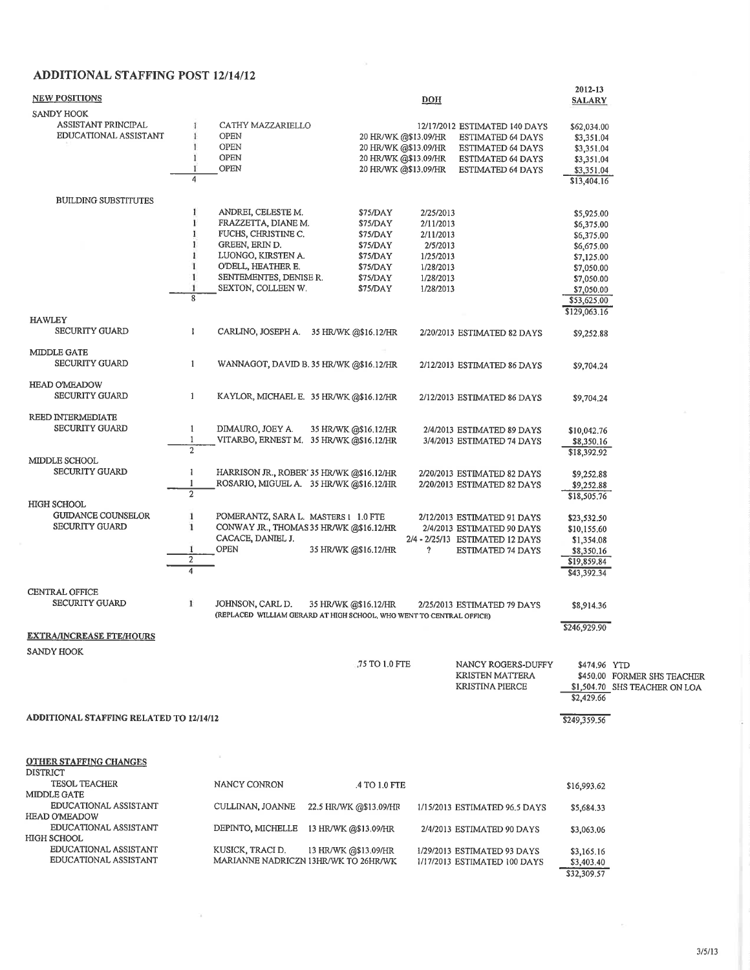# **ADDITIONAL STAFFING POST 12/14/12**

 $\sim$ 

|                                                  |                |                                                                      |                        |                      |                                 | 2012-13                     |                               |
|--------------------------------------------------|----------------|----------------------------------------------------------------------|------------------------|----------------------|---------------------------------|-----------------------------|-------------------------------|
| <b>NEW POSITIONS</b>                             |                |                                                                      |                        | <b>DOH</b>           |                                 | <b>SALARY</b>               |                               |
| SANDY HOOK                                       |                |                                                                      |                        |                      |                                 |                             |                               |
| ASSISTANT PRINCIPAL                              | x              | CATHY MAZZARIELLO                                                    |                        |                      | 12/17/2012 ESTIMATED 140 DAYS   | \$62,034.00                 |                               |
| EDUCATIONAL ASSISTANT                            | ı.             | <b>OPEN</b>                                                          | 20 HR/WK @\$13.09/HR   |                      | ESTIMATED 64 DAYS               | \$3,351.04                  |                               |
|                                                  | 1              | <b>OPEN</b>                                                          |                        | 20 HR/WK @\$13.09/HR | <b>ESTIMATED 64 DAYS</b>        | \$3,351.04                  |                               |
|                                                  | 1              | <b>OPEN</b>                                                          |                        | 20 HR/WK @\$13.09/HR | <b>ESTIMATED 64 DAYS</b>        | \$3,351.04                  |                               |
|                                                  |                | <b>OPEN</b>                                                          | 20 HR/WK @\$13.09/HR   |                      | <b>ESTIMATED 64 DAYS</b>        | \$3,351.04                  |                               |
|                                                  | 4              |                                                                      |                        |                      |                                 | \$13,404.16                 |                               |
|                                                  |                |                                                                      |                        |                      |                                 |                             |                               |
| <b>BUILDING SUBSTITUTES</b>                      |                |                                                                      |                        |                      |                                 |                             |                               |
|                                                  |                | ANDREI, CELESTE M.                                                   | \$75/DAY               | 2/25/2013            |                                 | \$5,925.00                  |                               |
|                                                  |                | FRAZZETTA, DIANE M.                                                  | \$75/DAY               | 2/11/2013            |                                 | \$6,375.00                  |                               |
|                                                  |                | FUCHS, CHRISTINE C.                                                  | \$75/DAY               | 2/11/2013            |                                 | \$6,375.00                  |                               |
|                                                  |                | GREEN, ERIN D.                                                       | \$75/DAY               | 2/5/2013             |                                 | \$6,675.00                  |                               |
|                                                  |                | LUONGO, KIRSTEN A.                                                   | \$75/DAY               | 1/25/2013            |                                 | \$7,125.00                  |                               |
|                                                  |                | O'DELL, HEATHER E.                                                   | \$75/DAY               | 1/28/2013            |                                 | \$7,050.00                  |                               |
|                                                  |                | SENTEMENTES, DENISE R.                                               | \$75/DAY               | 1/28/2013            |                                 | \$7,050.00                  |                               |
|                                                  | ጸ              | SEXTON, COLLEEN W.                                                   | \$75/DAY               | 1/28/2013            |                                 | \$7,050.00                  |                               |
|                                                  |                |                                                                      |                        |                      |                                 | \$53,625.00<br>\$129,063.16 |                               |
| <b>HAWLEY</b>                                    |                |                                                                      |                        |                      |                                 |                             |                               |
| <b>SECURITY GUARD</b>                            | 1              | CARLINO, JOSEPH A. 35 HR/WK @\$16.12/HR                              |                        |                      | 2/20/2013 ESTIMATED 82 DAYS     | \$9,252.88                  |                               |
|                                                  |                |                                                                      |                        |                      |                                 |                             |                               |
| <b>MIDDLE GATE</b>                               |                |                                                                      |                        |                      |                                 |                             |                               |
| <b>SECURITY GUARD</b>                            | $\mathbf{1}$   | WANNAGOT, DAVID B. 35 HR/WK @\$16.12/HR                              |                        |                      | 2/12/2013 ESTIMATED 86 DAYS     | \$9,704.24                  |                               |
|                                                  |                |                                                                      |                        |                      |                                 |                             |                               |
| <b>HEAD O'MEADOW</b>                             |                |                                                                      |                        |                      |                                 |                             |                               |
| SECURITY GUARD                                   | $\mathbf{1}$   | KAYLOR, MICHAEL E. 35 HR/WK @\$16.12/HR                              |                        |                      | 2/12/2013 ESTIMATED 86 DAYS     | \$9,704.24                  |                               |
| REED INTERMEDIATE                                |                |                                                                      |                        |                      |                                 |                             |                               |
| <b>SECURITY GUARD</b>                            | $\mathbf{1}$   |                                                                      |                        |                      |                                 |                             |                               |
|                                                  | 1              | DIMAURO, JOEY A.<br>VITARBO, ERNEST M. 35 HR/WK @\$16.12/HR          | 35 HR/WK @\$16.12/HR   |                      | 2/4/2013 ESTIMATED 89 DAYS      | \$10,042.76                 |                               |
|                                                  | $\overline{2}$ |                                                                      |                        |                      | 3/4/2013 ESTIMATED 74 DAYS      | \$8,350.16                  |                               |
| MIDDLE SCHOOL                                    |                |                                                                      |                        |                      |                                 | \$18,392.92                 |                               |
| <b>SECURITY GUARD</b>                            | 1              | HARRISON JR., ROBER' 35 HR/WK @\$16.12/HR                            |                        |                      | 2/20/2013 ESTIMATED 82 DAYS     | \$9,252.88                  |                               |
|                                                  | 1              | ROSARIO, MIGUEL A. 35 HR/WK @\$16.12/HR                              |                        |                      | 2/20/2013 ESTIMATED 82 DAYS     | \$9,252.88                  |                               |
|                                                  | 2              |                                                                      |                        |                      |                                 | \$18,505.76                 |                               |
| <b>HIGH SCHOOL</b>                               |                |                                                                      |                        |                      |                                 |                             |                               |
| <b>GUIDANCE COUNSELOR</b>                        | 1              | POMERANTZ, SARA L. MASTERS 1 1.0 FTE                                 |                        |                      | 2/12/2013 ESTIMATED 91 DAYS     | \$23,532.50                 |                               |
| SECURITY GUARD                                   | 1              | CONWAY JR., THOMAS 35 HR/WK @\$16.12/HR                              |                        |                      | 2/4/2013 ESTIMATED 90 DAYS      | \$10,155.60                 |                               |
|                                                  |                | CACACE, DANIEL J.                                                    |                        |                      | 2/4 - 2/25/13 ESTIMATED 12 DAYS | \$1,354.08                  |                               |
|                                                  | 1              | <b>OPEN</b>                                                          | 35 HR/WK @\$16.12/HR   | $\boldsymbol{\eta}$  | ESTIMATED 74 DAYS               | \$8,350.16                  |                               |
|                                                  | 2              |                                                                      |                        |                      |                                 | \$19,859.84                 |                               |
|                                                  | $\overline{4}$ |                                                                      |                        |                      |                                 | \$43,392.34                 |                               |
| CENTRAL OFFICE                                   |                |                                                                      |                        |                      |                                 |                             |                               |
| <b>SECURITY GUARD</b>                            | 1              | JOHNSON, CARL D.                                                     | 35 HR/WK @\$16.12/HR   |                      | 2/25/2013 ESTIMATED 79 DAYS     |                             |                               |
|                                                  |                | (REPLACED WILLIAM GERARD AT HIGH SCHOOL, WHO WENT TO CENTRAL OFFICE) |                        |                      |                                 | \$8,914.36                  |                               |
|                                                  |                |                                                                      |                        |                      |                                 | \$246,929.90                |                               |
| <b>EXTRA/INCREASE FTE/HOURS</b>                  |                |                                                                      |                        |                      |                                 |                             |                               |
| SANDY HOOK                                       |                |                                                                      |                        |                      |                                 |                             |                               |
|                                                  |                |                                                                      | ,75 TO 1.0 FTE         |                      | NANCY ROGERS-DUFFY              | \$474.96 YTD                |                               |
|                                                  |                |                                                                      |                        |                      | <b>KRISTEN MATTERA</b>          |                             | \$450.00 FORMER SHS TEACHER   |
|                                                  |                |                                                                      |                        |                      | <b>KRISTINA PIERCE</b>          |                             | \$1,504.70 SHS TEACHER ON LOA |
|                                                  |                |                                                                      |                        |                      |                                 | \$2,429.66                  |                               |
|                                                  |                |                                                                      |                        |                      |                                 |                             |                               |
| <b>ADDITIONAL STAFFING RELATED TO 12/14/12</b>   |                |                                                                      |                        |                      |                                 | \$249,359.56                |                               |
|                                                  |                |                                                                      |                        |                      |                                 |                             |                               |
|                                                  |                |                                                                      |                        |                      |                                 |                             |                               |
|                                                  |                |                                                                      |                        |                      |                                 |                             |                               |
| <b>OTHER STAFFING CHANGES</b><br><b>DISTRICT</b> |                |                                                                      |                        |                      |                                 |                             |                               |
| <b>TESOL TEACHER</b>                             |                | NANCY CONRON                                                         |                        |                      |                                 |                             |                               |
| MIDDLE GATE                                      |                |                                                                      | .4 TO 1.0 FTE          |                      |                                 | \$16,993.62                 |                               |
| EDUCATIONAL ASSISTANT                            |                | CULLINAN, JOANNE                                                     | 22.5 HR/WK @\$13.09/HR |                      | 1/15/2013 ESTIMATED 96.5 DAYS   |                             |                               |
| HEAD O'MEADOW                                    |                |                                                                      |                        |                      |                                 | \$5,684.33                  |                               |
| EDUCATIONAL ASSISTANT                            |                | DEPINTO, MICHELLE                                                    | 13 HR/WK @\$13.09/HR   |                      | 2/4/2013 ESTIMATED 90 DAYS      | \$3,063.06                  |                               |
| HIGH SCHOOL                                      |                |                                                                      |                        |                      |                                 |                             |                               |
| EDUCATIONAL ASSISTANT                            |                | KUSICK, TRACI D.                                                     | 13 HR/WK @\$13.09/HR   |                      | 1/29/2013 ESTIMATED 93 DAYS     | \$3,165.16                  |                               |
| EDUCATIONAL ASSISTANT                            |                | MARIANNE NADRICZN 13HR/WK TO 26HR/WK                                 |                        |                      | 1/17/2013 ESTIMATED 100 DAYS    | \$3,403.40                  |                               |
|                                                  |                |                                                                      |                        |                      |                                 | \$32,309.57                 |                               |

 $3/5/13$ 

 $\epsilon$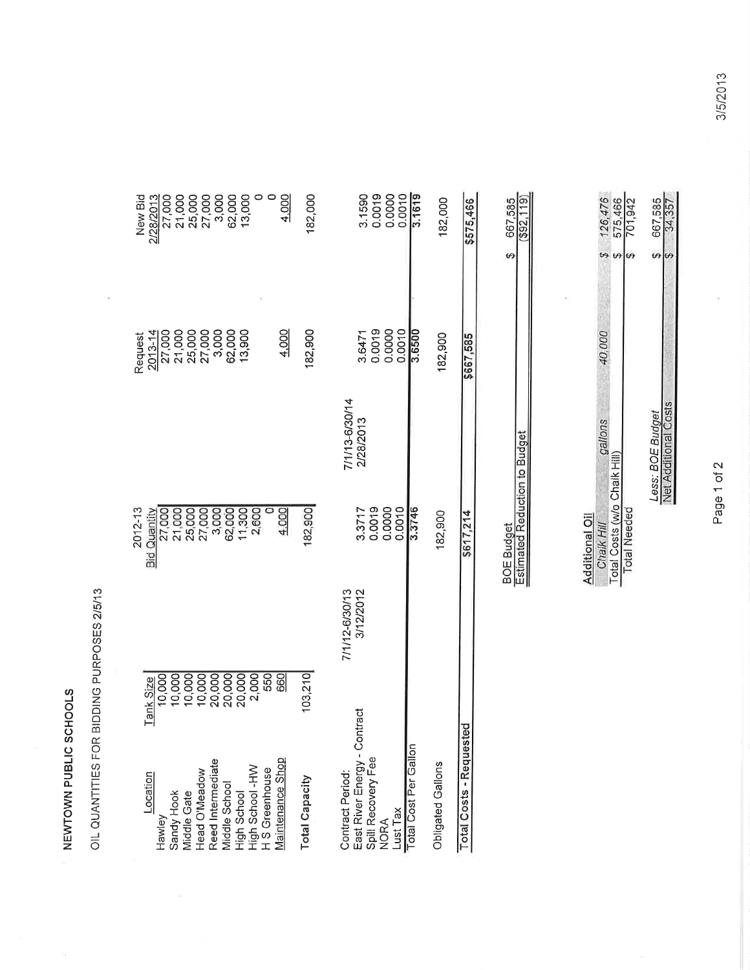$\widetilde{\pi}$ 

OIL QUANTITIES FOR BIDDING PURPOSES 2/5/13

ò,

| 62,000<br>13,000<br>4,000<br>New Bid<br>2/28/2013<br>21,000<br>3,000<br>27,000<br>25,000<br>27,000                                                                               | 182,000               | 0.0000<br>0.0019<br>3.1590                                                                 | 3.1619<br>182,000                                 | \$575,466             | \$92,119)<br>667,585<br>69                         |
|----------------------------------------------------------------------------------------------------------------------------------------------------------------------------------|-----------------------|--------------------------------------------------------------------------------------------|---------------------------------------------------|-----------------------|----------------------------------------------------|
| 4.000<br>2013-14<br>27,000<br>21,000<br>25,000<br>27,000<br>3,000<br>62,000<br>13,900<br>Request                                                                                 | 182,900               | 0.0000<br>0.0010<br>0.0019<br>3.6471                                                       | 3.6500<br>182,900                                 | \$667,585             |                                                    |
|                                                                                                                                                                                  |                       | 7/1/13-6/30/14<br>2/28/2013                                                                |                                                   |                       |                                                    |
| 2012-13<br>27,000<br>25,000<br>62,000<br>11,300<br>2,600<br>4.000<br>21,000<br>3,000<br><b>Bid Quantity</b>                                                                      | 182,900               | 0.0019<br>0.0000<br>0.0010<br>3.3717                                                       | 3.3746<br>182,900                                 | \$617,214             | Estimated Reduction to Budget<br><b>BOE Budget</b> |
|                                                                                                                                                                                  |                       | 3/12/2012<br>7/1/12-6/30/13                                                                |                                                   |                       |                                                    |
| 10,000<br>20,000<br>20,000<br>20,000<br>2,000<br>550<br>10,000<br>10,000<br>10,000<br>Tank Size                                                                                  | 103,210               |                                                                                            |                                                   | ba                    |                                                    |
| Middle School<br>High School<br>High School -HW<br>Haintenance Shop<br>Maintenance Shop<br>Middie Gate<br>Head O'Meadow<br>Reed Intermediate<br>Location<br>Hawley<br>Sandy Hook | <b>Total Capacity</b> | Contract Period:<br>East River Energy - Contract<br>Spill Recovery Fee<br>NORA<br>Lust Tax | Total Cost Per Gallon<br><b>Obligated Gallons</b> | Total Costs - Request |                                                    |

| Ë                          |        |            |
|----------------------------|--------|------------|
| gallons                    | 40.000 | 126,476    |
| Total Costs (w/o Chalk HII |        | 46F<br>575 |
| eedec                      |        | 201,942    |
| ess: BOE Budgel            |        | 667.585    |
|                            |        |            |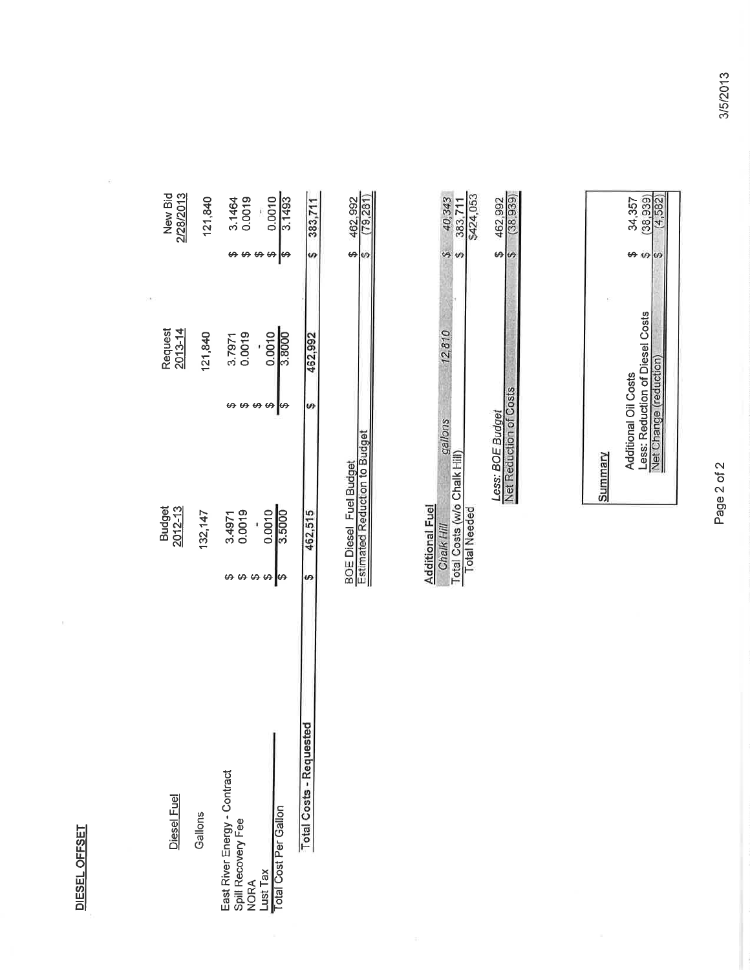DIESEL OFFSET

 $\bar{R}$ 

 $\tilde{E}$ 

| New Bid<br>2/28/201? | 121,840 | 3.1464<br>0.0019<br>0.0010<br>0.0013                                                                   |                        |
|----------------------|---------|--------------------------------------------------------------------------------------------------------|------------------------|
| Request<br>2013-14   | 21,840  | $3.7971$<br>$0.0019$<br>$0.0010$<br>3.8000                                                             | 462.997<br>U)          |
| Budget<br>2012-13    | 132,147 | 0.0010<br>3.4971<br>0.0019                                                                             | 462.515                |
| Diesel Fuel          | Gallons | East River Energy - Contract<br>Total Cost Per Gallon<br>Spill Recovery Fee<br>Lust Tax<br><b>NORA</b> | otal Costs - Requested |

|  | 162.992<br>; |
|--|--------------|
|  |              |

| <b>Tonal Fue</b> |                |     |   |         |
|------------------|----------------|-----|---|---------|
|                  |                | 281 |   | 40,343  |
|                  | win Chalk Hill |     |   | 383,711 |
| ă<br>ğ<br>ल      |                |     |   |         |
|                  | Less: BOE Budo |     | Ę | 462.992 |
|                  |                |     |   |         |

| Ġ.                             |               |
|--------------------------------|---------------|
| Additional Oil Costs           | 34,357        |
| ess: Reduction of Diesel Costs | $\frac{1}{2}$ |
|                                |               |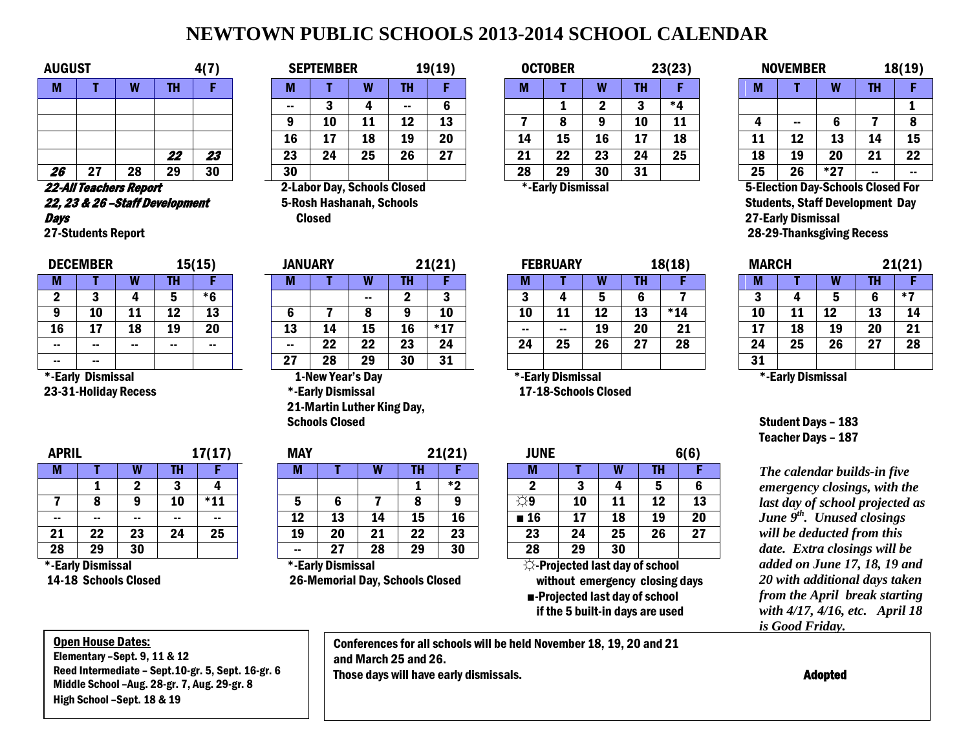# **NEWTOWN PUBLIC SCHOOLS 2013-2014 SCHOOL CALENDAR**

| <b>AUGUST</b> |          |    |           |    |            | <b>SEPTEMBER</b> |           |    | 19(19) |  |            | <b>OCTOBER</b> |    |            | 23(23) |  |           | <b>NOVEMBER</b> |              |           |        |
|---------------|----------|----|-----------|----|------------|------------------|-----------|----|--------|--|------------|----------------|----|------------|--------|--|-----------|-----------------|--------------|-----------|--------|
| .WI           |          | w  |           |    | <b>IVI</b> |                  |           | ш  |        |  |            |                | W  | m          |        |  | B.<br>IVI |                 | w            | <b>TH</b> |        |
|               |          |    |           |    | --         |                  |           | -- | r<br>п |  |            |                |    |            | *4     |  |           |                 |              |           |        |
|               |          |    |           |    |            | 10               | . .       | 12 | 13     |  |            |                |    | 10         | 11     |  |           |                 |              |           | o<br>O |
|               |          |    |           |    | 16         | 17               | 1 O<br>TО | 19 | 20     |  | 14         | 15             | 16 | . .<br>. . | 18     |  | . .       | 12              | 13           | 14        | 15     |
|               |          |    | -99<br>44 | 23 | ng.<br>23  | 24               | 25        | 26 | 27     |  | - 94<br>41 | 22             | 23 | 24         | 25     |  | 1 O<br>ΤO | 19              | 20           | 21        | 22     |
| 26            | . പ<br>4 | 28 | 29        | 30 | 30         |                  |           |    |        |  | 28         | 29             | 30 | 31         |        |  | 25        | 26              | $*27$<br>. . | $\sim$    | $\sim$ |

22-All Teachers Report 22, 23 & 26 –Staff Development **Days** 

27-Students Report

|    | <b>DECEMBER</b> |          |    | 15(15) | <b>JANUARY</b> |    |               |    | 21(21) |               | <b>FEBRUARY</b> |         | 18(18)   | МA    |        |
|----|-----------------|----------|----|--------|----------------|----|---------------|----|--------|---------------|-----------------|---------|----------|-------|--------|
| M  |                 | W<br>. . | TH |        | М              |    | W<br>. .      | TH |        | M             |                 | W<br>w. | TH       |       | M      |
|    |                 |          |    | * ፎ    |                |    | $\sim$ $\sim$ |    | м      |               |                 | w       |          |       | າ<br>J |
|    | 10              | 11       | 12 | 13     | О              |    |               | о  | 10     | 10            | 11              | 12      | 13       | $*14$ | 10     |
| 16 | . .             | 18       | 19 | 20     | 13             | 14 | 15            | 16 | $*17$  | $\sim$ $\sim$ | $\sim$ $\sim$   | 19      | 20       | 21    | 17     |
|    |                 |          |    | --     | $\sim$         | 22 | 22            | 23 | 24     | 24            | 25              | 26      | 67<br>41 | 28    | 24     |
|    | --              |          |    |        | 67<br>21       | 28 | 29            | 30 | 31     |               |                 |         |          |       | 31     |

\*-Early Dismissal

23-31-Holiday Recess

| <b>APRIL</b>  |               |                |               | 17(17) | <b>MAY</b> |    |    |    | 21(21)   | <b>JUNE</b>       | 6(6) |    |    |             |  |
|---------------|---------------|----------------|---------------|--------|------------|----|----|----|----------|-------------------|------|----|----|-------------|--|
| M             |               | w              | TH            |        | М          |    | W  | TH |          | M                 |      | W  | TH |             |  |
|               |               |                | w             |        |            |    |    |    | $\ast$ 2 |                   | w    |    | b  |             |  |
|               | о             |                | 10            | $^*11$ | -          | c  |    |    |          | $\heartsuit$ 9    | 10   | 11 | 12 |             |  |
| $\sim$ $\sim$ | $\sim$ $\sim$ | $\blacksquare$ | $\sim$ $\sim$ | $\sim$ | 12         | 13 | 14 | 15 | 16       | $\blacksquare$ 16 | 17   | 18 | 19 | $\mathbf 2$ |  |
| 21            | 22            | 23             | 24            | 25     | 19         | 20 | 21 | 22 | 23       | 23                | 24   | 25 | 26 | ∩           |  |
| 28            | 29            | 30             |               |        | $\sim$     | 27 | 28 | 29 | 30       | 28                | 29   | 30 |    |             |  |

\*-Early Dismissal

14-18 Schools Closed

| <b>UGUST</b> |          |                       |    | 4(7 |        | <b>SEPTEMBER</b> |                                    |    | <b>19(19)</b> |    | <b>OCTOBER</b>    |    |           | 23(23) |           | <b>NOVEMBER</b> |                                          |            | 18(19 |
|--------------|----------|-----------------------|----|-----|--------|------------------|------------------------------------|----|---------------|----|-------------------|----|-----------|--------|-----------|-----------------|------------------------------------------|------------|-------|
| M            |          |                       | TH |     | IV.    |                  |                                    | TН |               | М  |                   | W  | <b>TH</b> |        | M         |                 |                                          |            |       |
|              |          |                       |    |     | $\sim$ |                  |                                    | -- | 6             |    |                   |    |           | *Δ     |           |                 |                                          |            |       |
|              |          |                       |    |     |        | 10               | 11                                 | 12 | 13            |    |                   |    | 10        | 11     |           | $\sim$          |                                          |            | O     |
|              |          |                       |    |     | 16     | ╺                | 18                                 | 19 | 20            | 14 | 15                | 16 | 17        | 18     | . .       | 12              | 13                                       | - 7        | 15    |
|              |          |                       | 22 | 23  | 23     | 24               | 25                                 | 26 | 27            | 21 | 22                | 23 | 24        | 25     | 1 O<br>TО | 19              | 20                                       | - 11<br>41 | 22    |
| 26           | רה<br>41 | 28                    | 29 | 30  | 30     |                  |                                    |    |               | 28 | 29                | 30 | 31        |        | 25        | 26              | *27                                      |            |       |
|              |          | 2-All Teachers Report |    |     |        |                  | <b>2-Labor Day, Schools Closed</b> |    |               |    | *-Early Dismissal |    |           |        |           |                 | <b>5-Election Day-Schools Closed For</b> |            |       |

 5-Rosh Hashanah, Schools Closed

|               | <b>SEPTEMBER</b> |    |                             | 19(19) |    | <b>OCTOBER</b>    |    |    | 23(23) |    | <b>NOVEMBER</b> |                                   |    | 18(19 |
|---------------|------------------|----|-----------------------------|--------|----|-------------------|----|----|--------|----|-----------------|-----------------------------------|----|-------|
| M             |                  | W  | TН                          |        | M  |                   | W  | TH |        | M  |                 | W                                 | TH |       |
| $\sim$ $\sim$ |                  |    | $\sim$ $\sim$               | o      |    |                   |    | ∍  | *4     |    |                 |                                   |    |       |
| 9             | 10               | 11 | 12                          | 13     |    | O                 |    | 10 | 11     |    | $\sim$          |                                   |    | 8     |
| 16            | 17               | 18 | 19                          | 20     | 14 | 15                | 16 | 17 | 18     | 11 | 12              | 13                                | 14 | 15    |
| 23            | 24               | 25 | 26                          | 27     | 21 | 22                | 23 | 24 | 25     | 18 | 19              | 20                                | 21 | 22    |
| 30            |                  |    |                             |        | 28 | 29                | 30 | 31 |        | 25 | 26              | *27                               |    |       |
|               |                  |    | )-I ahor Dav Schools Closed |        |    | *-Farly Dismissal |    |    |        |    |                 | 5-Flection Day-Schools Closed For |    |       |

Students, Staff Development Day 27-Early Dismissal 28-29-Thanksgiving Recess

|        | <b>DECEMBER</b>  |    |           | 15(15) | <b>JANUARY</b> |                                                                 |          |           | 21(21) |               | <b>FEBRUARY</b>                                                                                                                                                                                                                                                                                                                                                                                                         |    |                  | 18(18) | <b>MARCH</b> |                       |    |            | 21/21<br>스스(스스 |
|--------|------------------|----|-----------|--------|----------------|-----------------------------------------------------------------|----------|-----------|--------|---------------|-------------------------------------------------------------------------------------------------------------------------------------------------------------------------------------------------------------------------------------------------------------------------------------------------------------------------------------------------------------------------------------------------------------------------|----|------------------|--------|--------------|-----------------------|----|------------|----------------|
| IVI    |                  |    | - 11<br>ш |        | IVI            |                                                                 |          | гц<br>. . |        |               |                                                                                                                                                                                                                                                                                                                                                                                                                         |    | - 1              |        |              |                       | W  | . .        |                |
|        |                  |    |           | *6     |                |                                                                 |          |           |        |               |                                                                                                                                                                                                                                                                                                                                                                                                                         |    |                  |        |              |                       |    |            | $\ast$ 7       |
| 9      | ΨU               | 11 | 12<br>--  | 13     |                |                                                                 |          |           | 10     | 10            | <b>TT</b>                                                                                                                                                                                                                                                                                                                                                                                                               | 12 | 19<br>IJ         | *14    | 10           | 11                    | 12 | ш          | 14             |
| 16     |                  | 18 | 19        | 20     | 13             | 14                                                              | 15       | 16        | *17    | $\sim$ $\sim$ | --                                                                                                                                                                                                                                                                                                                                                                                                                      | 19 | 20               | 21     | . .          | 18                    | 19 | 20         | 21             |
| $\sim$ |                  | -- | $\sim$    | --     | $\sim$         | מה<br>LL                                                        | ົາາ<br>" | 23        | 24     | 24            | 25                                                                                                                                                                                                                                                                                                                                                                                                                      | 26 | - 27<br><u>.</u> | 28     | 24           | 25                    | 26 | - 7<br>. . | 28             |
| $\sim$ |                  |    |           |        | 27             | 28                                                              | っロ<br>49 | 30        | 31     |               |                                                                                                                                                                                                                                                                                                                                                                                                                         |    |                  |        | 31           |                       |    |            |                |
|        | アー・エー・ハリー しょうしょう |    |           |        |                | $\mathbf{A}$ and $\mathbf{W}$ and $\mathbf{W}$ and $\mathbf{W}$ |          |           |        |               | $\mathbf{A} \mathbf{A} = \mathbf{A} \mathbf{A} + \mathbf{A} \mathbf{A} + \mathbf{A} \mathbf{A} + \mathbf{A} \mathbf{A} + \mathbf{A} \mathbf{A} + \mathbf{A} \mathbf{A} + \mathbf{A} \mathbf{A} + \mathbf{A} \mathbf{A} + \mathbf{A} \mathbf{A} + \mathbf{A} \mathbf{A} + \mathbf{A} \mathbf{A} + \mathbf{A} \mathbf{A} + \mathbf{A} \mathbf{A} + \mathbf{A} \mathbf{A} + \mathbf{A} \mathbf{A} + \mathbf{A} \mathbf{A}$ |    |                  |        |              | ALLEY AT INFLUENCE AT |    |            |                |

\*-Early Dismissal

Student Days – 183 Teacher Days – 187

**The calendar builds-in five** *emergency closings, with the last day of school projected as June 9th. Unused closings will be deducted from this date. Extra closings will be added on June 17, 18, 19 and 20 with additional days taken from the April break starting with 4/17, 4/16, etc. April 18 is Good Friday.*

**Open House Dates:** Elementary –Sept. 9, 11 & 12 Reed Intermediate – Sept.10-gr. 5, Sept. 16-gr. 6 Middle School –Aug. 28-gr. 7, Aug. 29-gr. 8 High School –Sept. 18 & 19

Conferences for all schools will be held November 18, 19, 20 and 21 and March 25 and 26. Those days will have early dismissals. Adopted

 $\overline{a}$ 

# 2 3 4 5 \*6 1 -- 2 3 1 3 4 5 6 7 3 4 5 6 \*7

 1-New Year's Day \*-Early Dismissal 21-Martin Luther King Day, Schools Closed

| APRIL         |                  |        |               | 17(17)        | <b>MAY</b> |                          |    |    | 21(21) | <b>JUNE</b>       |                              |    |
|---------------|------------------|--------|---------------|---------------|------------|--------------------------|----|----|--------|-------------------|------------------------------|----|
| M             |                  | W      | TH            |               | M          |                          | W  | TH |        | M                 |                              | W  |
|               |                  | -      | a             |               |            |                          |    |    | *2     |                   |                              | 4  |
|               | О                |        | 10            | $*11$         |            | 6                        |    | 8  |        | 129               | 10                           | 11 |
| $\sim$ $\sim$ | $\sim$ $\sim$    | $\sim$ | $\sim$ $\sim$ | $\sim$ $\sim$ | 12         | 13                       | 14 | 15 | 16     | $\blacksquare$ 16 |                              | 18 |
| 21            | 22               | 23     | 24            | 25            | 19         | 20                       | 21 | 22 | 23     | 23                | 24                           | 25 |
| 28            | 29               | 30     |               |               | $\sim$     | 27                       | 28 | 29 | 30     | 28                | 29                           | 30 |
|               | -Early Dismissal |        |               |               |            | <b>*-Early Dismissal</b> |    |    |        |                   | $\varphi$ -Projected last da |    |

26-Memorial Day, Schools Closed

17-18-Schools Closed

\*-Early Dismissal

| APRIL  |        |     |        | 17(17) | <b>MAY</b> |    |    |    | 21(21) | <b>JUNE</b>       |    |    |    | 6(6) |
|--------|--------|-----|--------|--------|------------|----|----|----|--------|-------------------|----|----|----|------|
| M      |        | W   | ıп     |        | M          |    | W  | ш  |        | M                 |    | W  | TH |      |
|        |        |     | J      |        |            |    |    |    | $*$ 2  | n                 | w  |    | a  |      |
|        | σ      |     | 10     | $^*11$ | b          | b  |    |    | 9      | 1X9               | 10 | 11 | 12 | 13   |
| $\sim$ | $\sim$ | . . | $\sim$ | $\sim$ | 12         | 13 | 14 | 15 | 16     | $\blacksquare$ 16 | 17 | 18 | 19 | 20   |
| 21     | 22     | 23  | 24     | 25     | 19         | 20 | 21 | 22 | 23     | 23                | 24 | 25 | 26 | 27   |
| 28     | 29     | 30  |        |        | $\sim$     | 27 | 28 | 29 | 30     | 28                | 29 | 30 |    |      |

 ☼-Projected last day of school without emergency closing days ■-Projected last day of school if the 5 built-in days are used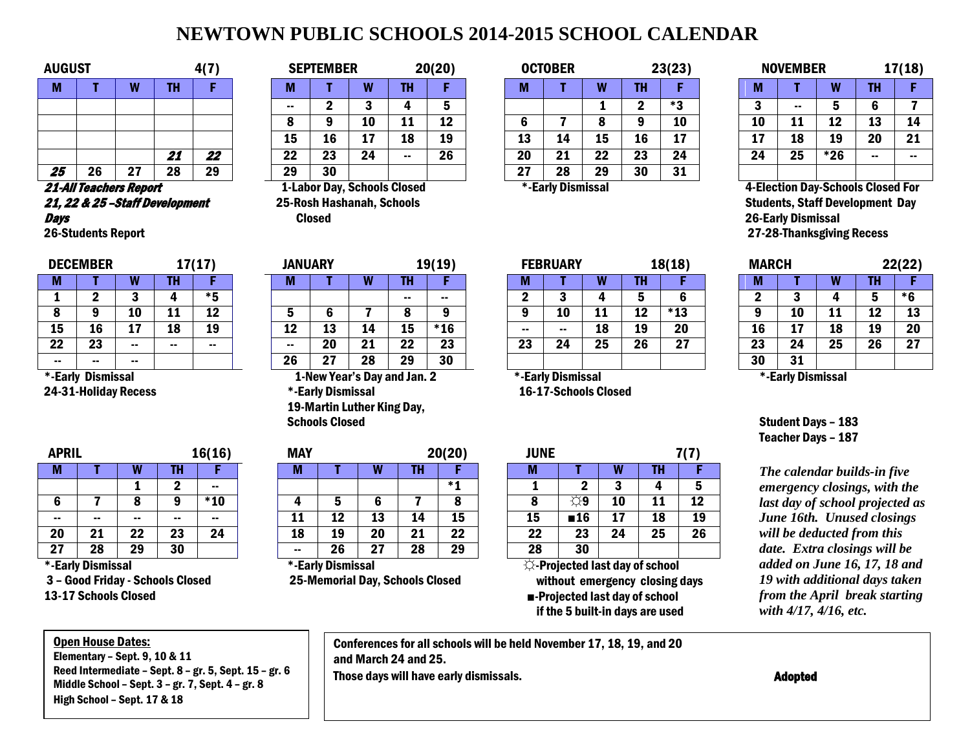# **NEWTOWN PUBLIC SCHOOLS 2014-2015 SCHOOL CALENDAR**

| <b>AUGUST</b> |    |    |                 |    |            | <b>SEPTEMBER</b> |    |        | 20(20) |           | <b>OCTOBER</b> |          |           | 23(23)   |     | <b>NOVEMBER</b> |       |           | 17(18) |
|---------------|----|----|-----------------|----|------------|------------------|----|--------|--------|-----------|----------------|----------|-----------|----------|-----|-----------------|-------|-----------|--------|
| .WI           |    | w  |                 |    | <b>IVI</b> |                  |    | ш      |        |           |                | <b>W</b> | - 11      |          | B.  |                 | w     | <b>TH</b> |        |
|               |    |    |                 |    | --         |                  |    |        |        |           |                |          |           | $\ast$ 2 |     | $\sim$          |       |           |        |
|               |    |    |                 |    |            |                  | 10 | 11     | 12     |           |                |          |           | 10       | 10  | 11              | ∸     | 19<br>w   | 14     |
|               |    |    |                 |    | 15         | 16               | ⇁  | 18     | 19     | ∙י<br>- 1 | 14             | 15       | 16        | 17       | . . | 18              | 19    | 20        | 21     |
|               |    |    | <b>п</b> л<br>" | 22 | nn,<br>22  | 23               | 24 | $\sim$ | 26     | 20        | 21             | 22       | ng.<br>23 | 24       | 24  | 25              | $*26$ | $\sim$    | $\sim$ |
| 25            | 26 | רמ | 00              | 29 | 29         | 30               |    |        |        | ^7        | 28             | 29       | 30        | 31       |     |                 |       |           |        |

21-All Teachers Report 21, 22 & 25 –Staff Development **Days** 

26-Students Report

|        | <b>DECEMBER</b> |               |               | 17(17)        | <b>JANUARY</b> |               |     |               | 19(19) |        | <b>FEBRUARY</b> |    |     | 18(18)    | <b>MARCH</b> |     |     |          | 22(22 |
|--------|-----------------|---------------|---------------|---------------|----------------|---------------|-----|---------------|--------|--------|-----------------|----|-----|-----------|--------------|-----|-----|----------|-------|
| w      |                 |               | TH            |               | w              |               |     |               |        | ш      |                 |    | . . |           | M            |     | w   | TH       |       |
|        |                 |               |               | $*E$          |                |               |     | $\sim$ $\sim$ | $\sim$ |        |                 |    |     |           |              |     |     |          |       |
|        |                 | 10            | ᆠ             | 12<br>∸∸      |                |               |     |               |        |        | 10              | 11 | --  | *13       |              | 10  | . . | 10<br>∸∸ |       |
| 15     | 16              | . .           | 18            | 19            | ∸∸             | IJ            | 14  | 15            | $*16$  | $\sim$ | --              | 18 | 19  | 20        | 16           | . . | 18  | 19       | 2(    |
| 22     | ng.<br>دے       | $\sim$ $\sim$ | $\sim$ $\sim$ | $\sim$ $\sim$ | $\sim$ $\sim$  | 20            | 21  | ממ<br>44      | 23     | 23     | 24              | 25 | 26  | ^7<br>. . | 23           | 24  | 25  | 26       |       |
| $\sim$ |                 | $\sim$ $\sim$ |               |               | 26             | 67<br>. .     | 28  | 29            | 30     |        |                 |    |     |           | 30           | 31  |     |          |       |
|        | _ _ _           |               |               |               | - --           | $\sim$ $\sim$ | --- | . .           |        | __     | .               |    |     |           |              | .   |     |          |       |

\*-Early Dismissal

24-31-Holiday Recess

| <b>APRIL</b> |        |        |               | 16(16) | <b>MAY</b> |    |    |    | 20(20) | <b>JUNE</b> |                   |    |    | 7(7 |
|--------------|--------|--------|---------------|--------|------------|----|----|----|--------|-------------|-------------------|----|----|-----|
| M            |        | w      | TH            |        | M          |    | W  | TH |        | М           |                   | W  | TH |     |
|              |        |        |               | $\sim$ |            |    |    |    | * 1    |             | ø                 | J  |    |     |
| o            |        |        |               | $*10$  |            | a  |    |    | σ      | о           | $\varnothing$ 9   | 10 | 11 | 44  |
| --           | $\sim$ | $\sim$ | $\sim$ $\sim$ | $\sim$ | 11         | 12 | 13 | 14 | 15     | 15          | $\blacksquare$ 16 | 17 | 18 | я.  |
| 20           | 21     | 22     | 23            | 24     | 18         | 19 | 20 | 21 | 22     | 22          | 23                | 24 | 25 | 0   |
| 27           | 28     | 29     | 30            |        | $\sim$     | 26 | 27 | 28 | 29     | 28          | 30                |    |    |     |

- \*-Early Dismissal
- 3 Good Friday Schools Closed

# 13-17 Schools Closed

# **Open House Dates:**

Elementary – Sept. 9, 10 & 11 Reed Intermediate – Sept. 8 – gr. 5, Sept. 15 – gr. 6 Middle School – Sept. 3 – gr. 7, Sept. 4 – gr. 8 High School – Sept. 17 & 18

| เบนบรา |    |            |    | -41. |        | <b>SEPIEMBER</b> |           |               | <b>ZU(ZU)</b> |          | <b>UCIUBER</b> |    |    | Z3(Z3) |      | <b>NUVEMBER</b> |       |         | 1712           |
|--------|----|------------|----|------|--------|------------------|-----------|---------------|---------------|----------|----------------|----|----|--------|------|-----------------|-------|---------|----------------|
| M      |    | W          | TH |      | M      |                  | W         | TH            |               |          |                |    | тч |        | IVI  |                 |       | тu<br>Ш |                |
|        |    |            |    |      | $\sim$ | --               |           |               |               |          |                |    |    | $*2$   |      | $\sim$          |       |         |                |
|        |    |            |    |      | ю      |                  | 10        | 11            | 12            |          |                |    |    | 10     | 10   | ŦŦ              | 12    | 13      |                |
|        |    |            |    |      | 15     | 16               | 47<br>. . | 18            | 19            | 19<br>IJ | 14             | 15 | 16 | 17     | . .  | 18              | 19    | 20      | 2 <sub>1</sub> |
|        |    |            | 21 | 22   | 22     | 23               | 24        | $\sim$ $\sim$ | 26            | 20       | 21             | 22 | 23 | 24     | 24   | 25              | $*26$ | $\sim$  | --             |
| 25     | 26 | - 27<br>41 | 28 | 29   | 29     | 30               |           |               |               | ^7<br>41 | 28             | 29 | 30 | 31     |      |                 |       |         |                |
| - ---- |    |            |    |      | - - -  |                  |           | - - -         |               | $-$      |                |    |    |        | ____ | $-$             | __    | - - -   |                |

 1-Labor Day, Schools Closed 25-Rosh Hashanah, Schools Closed

1-New Year's Day and Jan. 2

19-Martin Luther King Day,

\*-Early Dismissal

Schools Closed

\*-Early Dismissal

25-Memorial Day, Schools Closed

|               | <b>SEPTEMBER</b>               |    |               | 20(20) |    | <b>OCTOBER</b>    |    |    | 23(23) |    | <b>NOVEMBER</b> |       |                                     | 17(18         |
|---------------|--------------------------------|----|---------------|--------|----|-------------------|----|----|--------|----|-----------------|-------|-------------------------------------|---------------|
| M             |                                | W  | TΗ            |        | М  |                   | W  | TH |        | M  |                 | W     | TH                                  |               |
| $\sim$ $\sim$ |                                | w  |               | 5      |    |                   |    | n  | *3     | J  | --              |       | 6                                   |               |
| 8             |                                | 10 | 11            | 12     | 6  |                   |    | 9  | 10     | 10 | 11              | 12    | 13                                  | 14            |
| 15            | 16                             | 17 | 18            | 19     | 13 | 14                | 15 | 16 | 17     | 17 | 18              | 19    | 20                                  | 21            |
| 22            | 23                             | 24 | $\sim$ $\sim$ | 26     | 20 | 21                | 22 | 23 | 24     | 24 | 25              | $*26$ | --                                  | $\sim$ $\sim$ |
| 29            | 30                             |    |               |        | 27 | 28                | 29 | 30 | 31     |    |                 |       |                                     |               |
|               | L.I ahnr Nav  Schnnle Clnead . |    |               |        |    | *-Farly Diemiccal |    |    |        |    |                 |       | 4. Flaction Day. Schools Closad For |               |

Early Dismissal **Early Dismissal Closed For** 4-Election Day-Schools Closed For Students, Staff Development Day 26-Early Dismissal 27-28-Thanksgiving Recess

|     | <b>DECEMBER</b>        |            |        | 17(17) | <b>JANUARY</b> |     |                           |        | 19(19) |               | <b>FEBRUARY</b>   |    |          | 18(18) | <b>MARCH</b> |                   |    |    | 22(22)   |
|-----|------------------------|------------|--------|--------|----------------|-----|---------------------------|--------|--------|---------------|-------------------|----|----------|--------|--------------|-------------------|----|----|----------|
| IVI |                        |            | TH     |        | w              |     |                           | ш      |        | IVI           |                   |    |          |        | IVI          |                   |    | TH |          |
|     |                        |            |        | * 5    |                |     |                           | $\sim$ | --     |               |                   |    |          |        |              |                   |    |    | *6       |
| O   |                        | 10         | ᆠ      | 12     |                |     |                           |        |        |               | 10                | 11 | 19<br>-- | $*13$  | o            | 10                | 11 | 12 | 49<br>-- |
| 15  | c<br>ιv                | . .<br>. . | 18     | 19     | 12             | w   | - 7                       | 15     | $*16$  | $\sim$ $\sim$ | --                | 18 | 19       | 20     | 16           |                   | 18 | 19 | 20       |
| 22  | n.<br>23               | $\sim$     | $\sim$ | --     | $\sim$         | 20  | - 4<br>41                 | 22     | 23     | 23            | 24                | 25 | 26       | 27     | n.<br>23     | 91<br>24          | 25 | 26 | 27       |
| .   | --                     | --         |        |        | 26             | . . | 28                        | 29     | 30     |               |                   |    |          |        | 30           | 94<br>-91         |    |    |          |
|     | <b>Eagh: Blandanal</b> |            |        |        |                |     | 1 New Yorks Dougand Law O |        |        |               | * Faulu Biamicael |    |          |        |              | * Faulu Biamicael |    |    |          |

\*-Early Dismissal

Student Days – 183 Teacher Days – 187

*emergency closings, with the last day of school projected as June 16th. Unused closings will be deducted from this date. Extra closings will be added on June 16, 17, 18 and 19 with additional days taken from the April break starting with 4/17, 4/16, etc.*

 $\overline{a}$ Conferences for all schools will be held November 17, 18, 19, and 20 and March 24 and 25.

Those days will have early dismissals. Adopted

16-17-Schools Closed

| APRIL           | 16(16) | <b>MAY</b> |     |       |    | 20(20) | <b>JUNE</b> |    |     |    |                |    |    |    |                              |
|-----------------|--------|------------|-----|-------|----|--------|-------------|----|-----|----|----------------|----|----|----|------------------------------|
| M               |        |            |     |       | M  |        |             |    |     |    |                |    |    |    | The calendar builds-in five  |
|                 |        |            |     |       |    |        |             |    | * 1 |    |                |    |    |    | emergency closings, with th  |
| 6               |        |            |     | $*10$ |    |        |             |    |     |    |                | 10 | 11 | 12 | last day of school projected |
| $\sim$          |        |            |     |       |    | 12     | 13          | 14 | 15  | 15 | ∎16            | 17 | 18 | 19 | June 16th. Unused closings   |
| $\overline{20}$ | 21     | 22         | -23 | 24    | 18 | 19     | 20          | 21 | 22  | 22 | 23             | 24 | 25 | 26 | will be deducted from this   |
| 27              | 28     | 29         | 30  |       |    | 26     | 27          | 28 | 29  | 28 | 30             |    |    |    | date. Extra closings will be |
|                 | .      |            |     |       | .  |        |             |    |     |    | wa 1 1 1 1 1 1 |    |    |    | $111$ $17$ $17$ $19$ $10$    |

 ☼-Projected last day of school without emergency closing days ■-Projected last day of school if the 5 built-in days are used

\*-Early Dismissal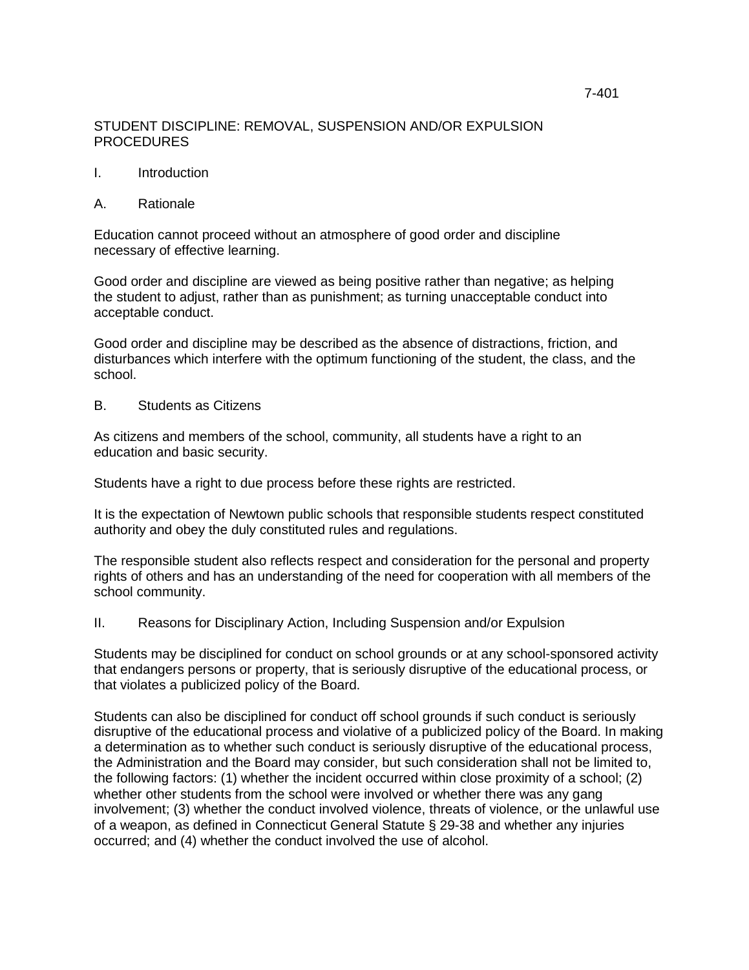# STUDENT DISCIPLINE: REMOVAL, SUSPENSION AND/OR EXPULSION **PROCEDURES**

# I. Introduction

# A. Rationale

Education cannot proceed without an atmosphere of good order and discipline necessary of effective learning.

Good order and discipline are viewed as being positive rather than negative; as helping the student to adjust, rather than as punishment; as turning unacceptable conduct into acceptable conduct.

Good order and discipline may be described as the absence of distractions, friction, and disturbances which interfere with the optimum functioning of the student, the class, and the school.

# B. Students as Citizens

As citizens and members of the school, community, all students have a right to an education and basic security.

Students have a right to due process before these rights are restricted.

It is the expectation of Newtown public schools that responsible students respect constituted authority and obey the duly constituted rules and regulations.

The responsible student also reflects respect and consideration for the personal and property rights of others and has an understanding of the need for cooperation with all members of the school community.

# II. Reasons for Disciplinary Action, Including Suspension and/or Expulsion

Students may be disciplined for conduct on school grounds or at any school-sponsored activity that endangers persons or property, that is seriously disruptive of the educational process, or that violates a publicized policy of the Board.

Students can also be disciplined for conduct off school grounds if such conduct is seriously disruptive of the educational process and violative of a publicized policy of the Board. In making a determination as to whether such conduct is seriously disruptive of the educational process, the Administration and the Board may consider, but such consideration shall not be limited to, the following factors: (1) whether the incident occurred within close proximity of a school; (2) whether other students from the school were involved or whether there was any gang involvement; (3) whether the conduct involved violence, threats of violence, or the unlawful use of a weapon, as defined in Connecticut General Statute § 29-38 and whether any injuries occurred; and (4) whether the conduct involved the use of alcohol.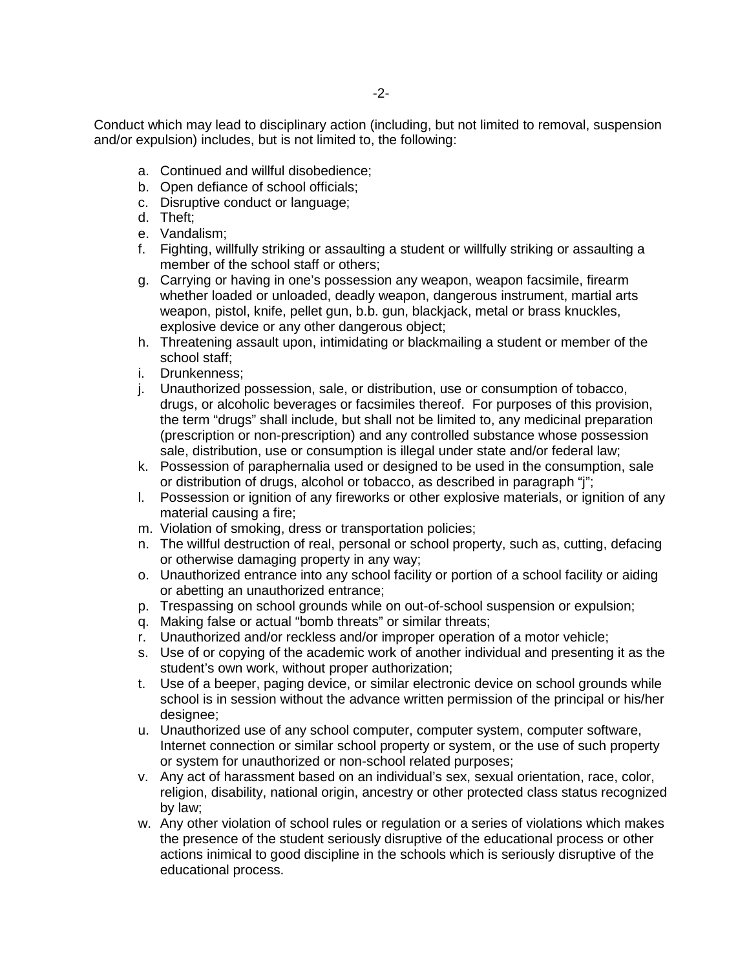Conduct which may lead to disciplinary action (including, but not limited to removal, suspension and/or expulsion) includes, but is not limited to, the following:

- a. Continued and willful disobedience;
- b. Open defiance of school officials;
- c. Disruptive conduct or language;
- d. Theft;
- e. Vandalism;
- f. Fighting, willfully striking or assaulting a student or willfully striking or assaulting a member of the school staff or others;
- g. Carrying or having in one's possession any weapon, weapon facsimile, firearm whether loaded or unloaded, deadly weapon, dangerous instrument, martial arts weapon, pistol, knife, pellet gun, b.b. gun, blackjack, metal or brass knuckles, explosive device or any other dangerous object;
- h. Threatening assault upon, intimidating or blackmailing a student or member of the school staff;
- i. Drunkenness;
- j. Unauthorized possession, sale, or distribution, use or consumption of tobacco, drugs, or alcoholic beverages or facsimiles thereof. For purposes of this provision, the term "drugs" shall include, but shall not be limited to, any medicinal preparation (prescription or non-prescription) and any controlled substance whose possession sale, distribution, use or consumption is illegal under state and/or federal law;
- k. Possession of paraphernalia used or designed to be used in the consumption, sale or distribution of drugs, alcohol or tobacco, as described in paragraph "j";
- l. Possession or ignition of any fireworks or other explosive materials, or ignition of any material causing a fire;
- m. Violation of smoking, dress or transportation policies;
- n. The willful destruction of real, personal or school property, such as, cutting, defacing or otherwise damaging property in any way;
- o. Unauthorized entrance into any school facility or portion of a school facility or aiding or abetting an unauthorized entrance;
- p. Trespassing on school grounds while on out-of-school suspension or expulsion;
- q. Making false or actual "bomb threats" or similar threats;
- r. Unauthorized and/or reckless and/or improper operation of a motor vehicle;
- s. Use of or copying of the academic work of another individual and presenting it as the student's own work, without proper authorization;
- t. Use of a beeper, paging device, or similar electronic device on school grounds while school is in session without the advance written permission of the principal or his/her designee;
- u. Unauthorized use of any school computer, computer system, computer software, Internet connection or similar school property or system, or the use of such property or system for unauthorized or non-school related purposes;
- v. Any act of harassment based on an individual's sex, sexual orientation, race, color, religion, disability, national origin, ancestry or other protected class status recognized by law;
- w. Any other violation of school rules or regulation or a series of violations which makes the presence of the student seriously disruptive of the educational process or other actions inimical to good discipline in the schools which is seriously disruptive of the educational process.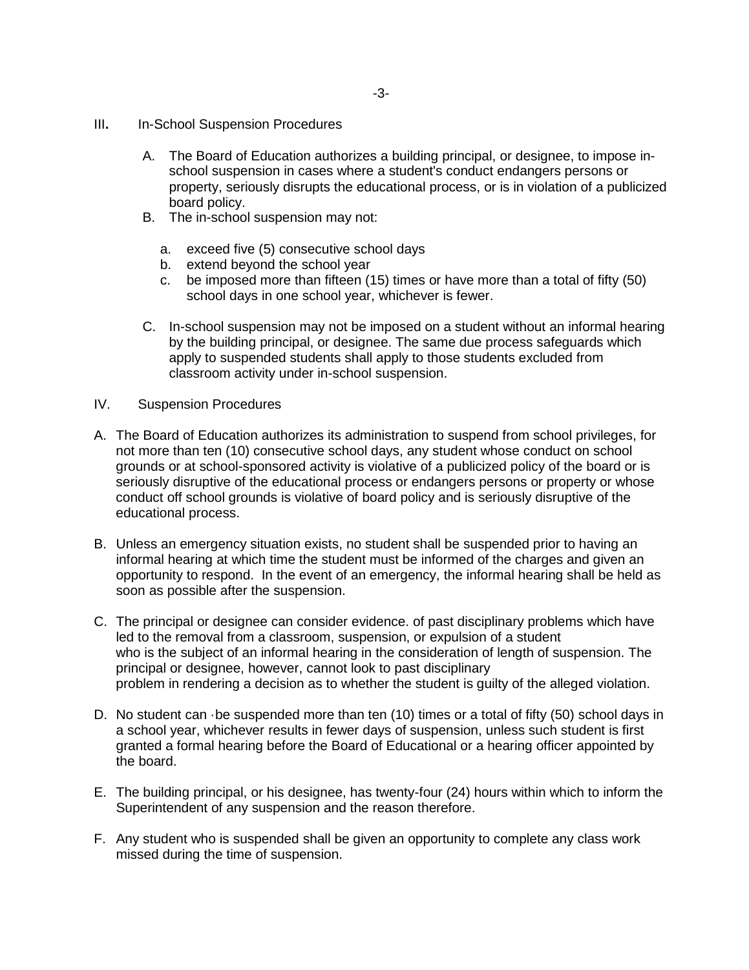- III**.** In-School Suspension Procedures
	- A. The Board of Education authorizes a building principal, or designee, to impose inschool suspension in cases where a student's conduct endangers persons or property, seriously disrupts the educational process, or is in violation of a publicized board policy.
	- B. The in-school suspension may not:
		- a. exceed five (5) consecutive school days
		- b. extend beyond the school year
		- c. be imposed more than fifteen (15) times or have more than a total of fifty (50) school days in one school year, whichever is fewer.
	- C. In-school suspension may not be imposed on a student without an informal hearing by the building principal, or designee. The same due process safeguards which apply to suspended students shall apply to those students excluded from classroom activity under in-school suspension.
- IV. Suspension Procedures
- A. The Board of Education authorizes its administration to suspend from school privileges, for not more than ten (10) consecutive school days, any student whose conduct on school grounds or at school-sponsored activity is violative of a publicized policy of the board or is seriously disruptive of the educational process or endangers persons or property or whose conduct off school grounds is violative of board policy and is seriously disruptive of the educational process.
- B. Unless an emergency situation exists, no student shall be suspended prior to having an informal hearing at which time the student must be informed of the charges and given an opportunity to respond. In the event of an emergency, the informal hearing shall be held as soon as possible after the suspension.
- C. The principal or designee can consider evidence. of past disciplinary problems which have led to the removal from a classroom, suspension, or expulsion of a student who is the subject of an informal hearing in the consideration of length of suspension. The principal or designee, however, cannot look to past disciplinary problem in rendering a decision as to whether the student is guilty of the alleged violation.
- D. No student can ·be suspended more than ten (10) times or a total of fifty (50) school days in a school year, whichever results in fewer days of suspension, unless such student is first granted a formal hearing before the Board of Educational or a hearing officer appointed by the board.
- E. The building principal, or his designee, has twenty-four (24) hours within which to inform the Superintendent of any suspension and the reason therefore.
- F. Any student who is suspended shall be given an opportunity to complete any class work missed during the time of suspension.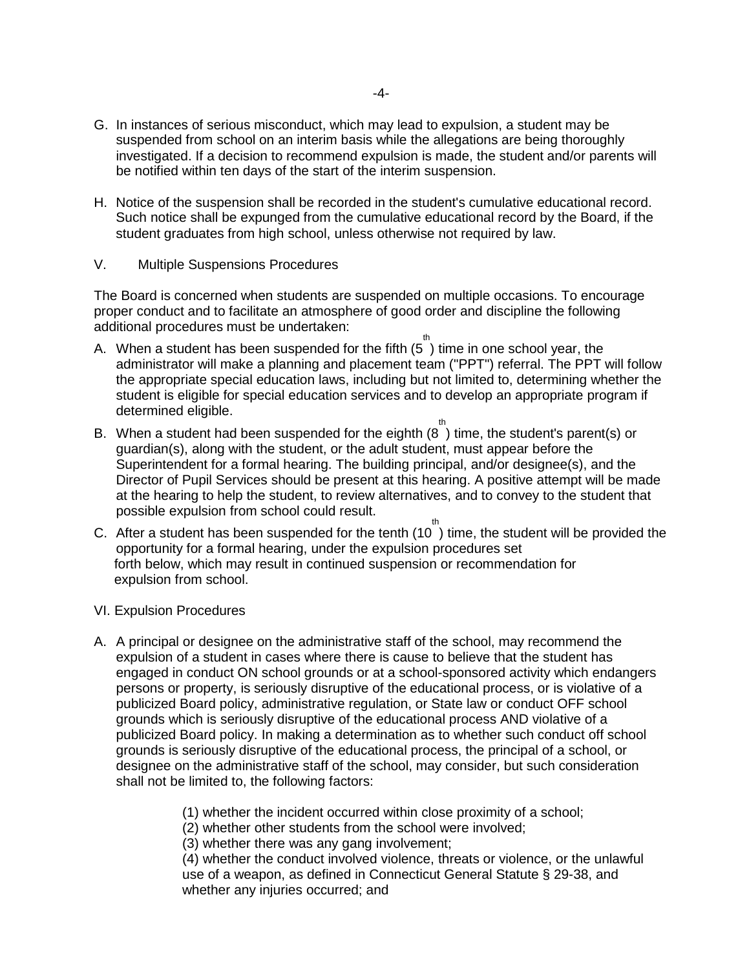- G. In instances of serious misconduct, which may lead to expulsion, a student may be suspended from school on an interim basis while the allegations are being thoroughly investigated. If a decision to recommend expulsion is made, the student and/or parents will be notified within ten days of the start of the interim suspension.
- H. Notice of the suspension shall be recorded in the student's cumulative educational record. Such notice shall be expunged from the cumulative educational record by the Board, if the student graduates from high school, unless otherwise not required by law.
- V. Multiple Suspensions Procedures

The Board is concerned when students are suspended on multiple occasions. To encourage proper conduct and to facilitate an atmosphere of good order and discipline the following additional procedures must be undertaken:

- A. When a student has been suspended for the fifth  $(5^{\text{th}})$  time in one school year, the administrator will make a planning and placement team ("PPT") referral. The PPT will follow the appropriate special education laws, including but not limited to, determining whether the student is eligible for special education services and to develop an appropriate program if determined eligible.
- B. When a student had been suspended for the eighth  $\binom{th}{8}$  time, the student's parent(s) or guardian(s), along with the student, or the adult student, must appear before the Superintendent for a formal hearing. The building principal, and/or designee(s), and the Director of Pupil Services should be present at this hearing. A positive attempt will be made at the hearing to help the student, to review alternatives, and to convey to the student that possible expulsion from school could result.
- C. After a student has been suspended for the tenth  $(10^{th})$  time, the student will be provided the opportunity for a formal hearing, under the expulsion procedures set forth below, which may result in continued suspension or recommendation for expulsion from school.
- VI. Expulsion Procedures
- A. A principal or designee on the administrative staff of the school, may recommend the expulsion of a student in cases where there is cause to believe that the student has engaged in conduct ON school grounds or at a school-sponsored activity which endangers persons or property, is seriously disruptive of the educational process, or is violative of a publicized Board policy, administrative regulation, or State law or conduct OFF school grounds which is seriously disruptive of the educational process AND violative of a publicized Board policy. In making a determination as to whether such conduct off school grounds is seriously disruptive of the educational process, the principal of a school, or designee on the administrative staff of the school, may consider, but such consideration shall not be limited to, the following factors:

(1) whether the incident occurred within close proximity of a school;

(2) whether other students from the school were involved;

(3) whether there was any gang involvement;

(4) whether the conduct involved violence, threats or violence, or the unlawful use of a weapon, as defined in Connecticut General Statute § 29-38, and whether any injuries occurred; and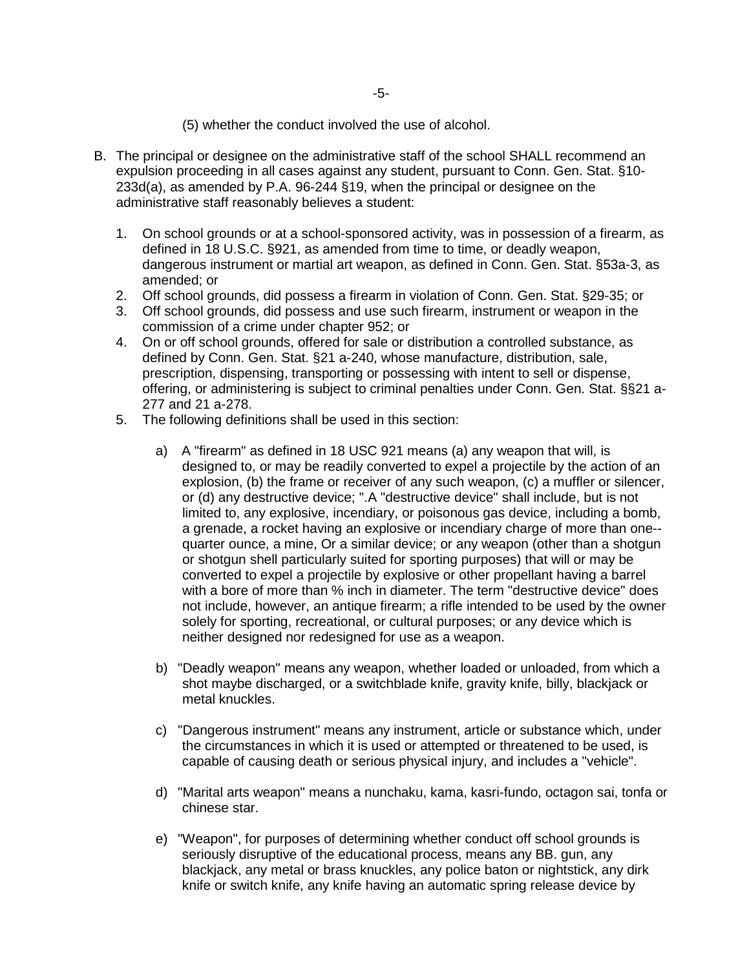- (5) whether the conduct involved the use of alcohol.
- B. The principal or designee on the administrative staff of the school SHALL recommend an expulsion proceeding in all cases against any student, pursuant to Conn. Gen. Stat. §10- 233d(a), as amended by P.A. 96-244 §19, when the principal or designee on the administrative staff reasonably believes a student:
	- 1. On school grounds or at a school-sponsored activity, was in possession of a firearm, as defined in 18 U.S.C. §921, as amended from time to time, or deadly weapon, dangerous instrument or martial art weapon, as defined in Conn. Gen. Stat. §53a-3, as amended; or
	- 2. Off school grounds, did possess a firearm in violation of Conn. Gen. Stat. §29-35; or
	- 3. Off school grounds, did possess and use such firearm, instrument or weapon in the commission of a crime under chapter 952; or
	- 4. On or off school grounds, offered for sale or distribution a controlled substance, as defined by Conn. Gen. Stat. §21 a-240, whose manufacture, distribution, sale, prescription, dispensing, transporting or possessing with intent to sell or dispense, offering, or administering is subject to criminal penalties under Conn. Gen. Stat. §§21 a-277 and 21 a-278.
	- 5. The following definitions shall be used in this section:
		- a) A "firearm" as defined in 18 USC 921 means (a) any weapon that will, is designed to, or may be readily converted to expel a projectile by the action of an explosion, (b) the frame or receiver of any such weapon, (c) a muffler or silencer, or (d) any destructive device; ".A "destructive device" shall include, but is not limited to, any explosive, incendiary, or poisonous gas device, including a bomb, a grenade, a rocket having an explosive or incendiary charge of more than one- quarter ounce, a mine, Or a similar device; or any weapon (other than a shotgun or shotgun shell particularly suited for sporting purposes) that will or may be converted to expel a projectile by explosive or other propellant having a barrel with a bore of more than % inch in diameter. The term "destructive device" does not include, however, an antique firearm; a rifle intended to be used by the owner solely for sporting, recreational, or cultural purposes; or any device which is neither designed nor redesigned for use as a weapon.
		- b) "Deadly weapon" means any weapon, whether loaded or unloaded, from which a shot maybe discharged, or a switchblade knife, gravity knife, billy, blackjack or metal knuckles.
		- c) "Dangerous instrument" means any instrument, article or substance which, under the circumstances in which it is used or attempted or threatened to be used, is capable of causing death or serious physical injury, and includes a "vehicle".
		- d) "Marital arts weapon" means a nunchaku, kama, kasri-fundo, octagon sai, tonfa or chinese star.
		- e) "Weapon", for purposes of determining whether conduct off school grounds is seriously disruptive of the educational process, means any BB. gun, any blackjack, any metal or brass knuckles, any police baton or nightstick, any dirk knife or switch knife, any knife having an automatic spring release device by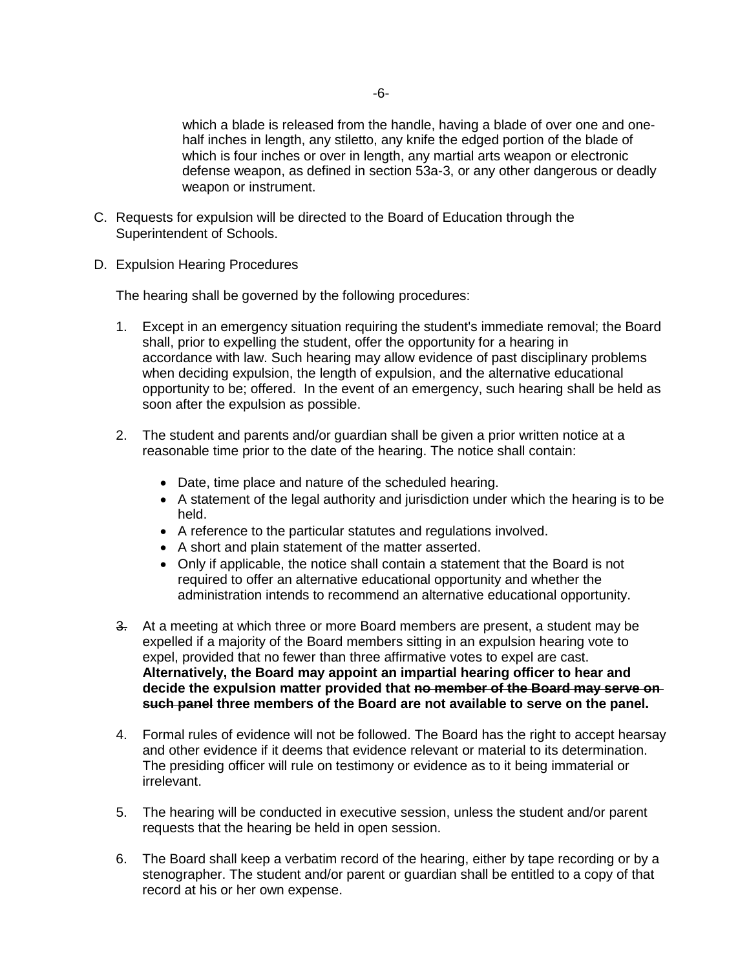which a blade is released from the handle, having a blade of over one and onehalf inches in length, any stiletto, any knife the edged portion of the blade of which is four inches or over in length, any martial arts weapon or electronic defense weapon, as defined in section 53a-3, or any other dangerous or deadly weapon or instrument.

- C. Requests for expulsion will be directed to the Board of Education through the Superintendent of Schools.
- D. Expulsion Hearing Procedures

The hearing shall be governed by the following procedures:

- 1. Except in an emergency situation requiring the student's immediate removal; the Board shall, prior to expelling the student, offer the opportunity for a hearing in accordance with law. Such hearing may allow evidence of past disciplinary problems when deciding expulsion, the length of expulsion, and the alternative educational opportunity to be; offered. In the event of an emergency, such hearing shall be held as soon after the expulsion as possible.
- 2. The student and parents and/or guardian shall be given a prior written notice at a reasonable time prior to the date of the hearing. The notice shall contain:
	- Date, time place and nature of the scheduled hearing.
	- A statement of the legal authority and jurisdiction under which the hearing is to be held.
	- A reference to the particular statutes and regulations involved.
	- A short and plain statement of the matter asserted.
	- Only if applicable, the notice shall contain a statement that the Board is not required to offer an alternative educational opportunity and whether the administration intends to recommend an alternative educational opportunity.
- 3. At a meeting at which three or more Board members are present, a student may be expelled if a majority of the Board members sitting in an expulsion hearing vote to expel, provided that no fewer than three affirmative votes to expel are cast. **Alternatively, the Board may appoint an impartial hearing officer to hear and decide the expulsion matter provided that no member of the Board may serve on such panel three members of the Board are not available to serve on the panel.**
- 4. Formal rules of evidence will not be followed. The Board has the right to accept hearsay and other evidence if it deems that evidence relevant or material to its determination. The presiding officer will rule on testimony or evidence as to it being immaterial or irrelevant.
- 5. The hearing will be conducted in executive session, unless the student and/or parent requests that the hearing be held in open session.
- 6. The Board shall keep a verbatim record of the hearing, either by tape recording or by a stenographer. The student and/or parent or guardian shall be entitled to a copy of that record at his or her own expense.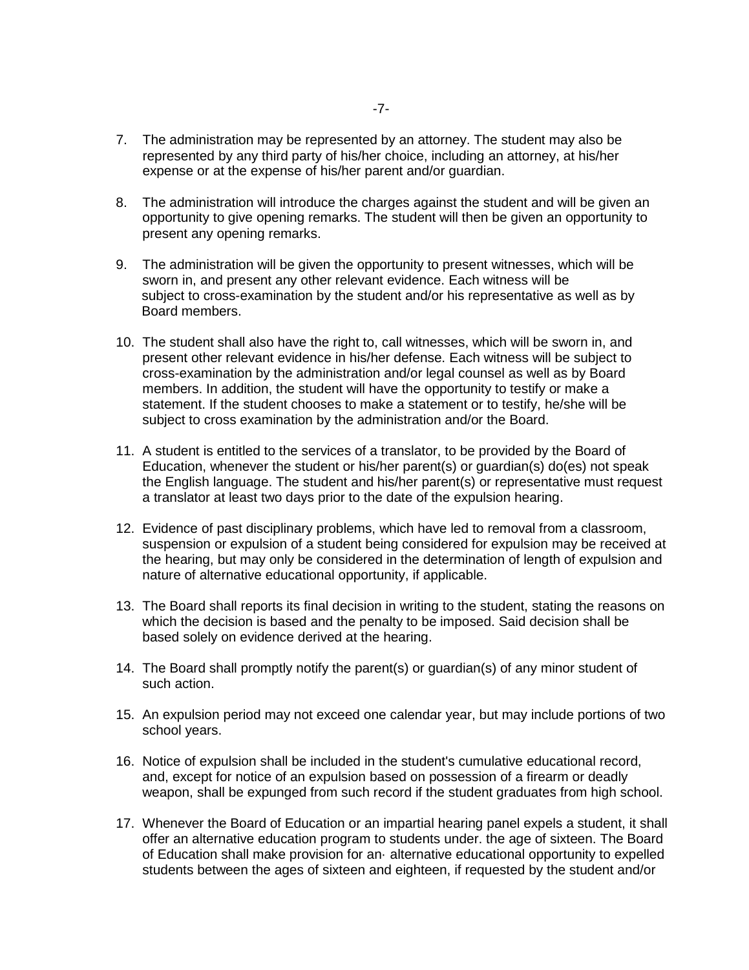- 7. The administration may be represented by an attorney. The student may also be represented by any third party of his/her choice, including an attorney, at his/her expense or at the expense of his/her parent and/or guardian.
- 8. The administration will introduce the charges against the student and will be given an opportunity to give opening remarks. The student will then be given an opportunity to present any opening remarks.
- 9. The administration will be given the opportunity to present witnesses, which will be sworn in, and present any other relevant evidence. Each witness will be subject to cross-examination by the student and/or his representative as well as by Board members.
- 10. The student shall also have the right to, call witnesses, which will be sworn in, and present other relevant evidence in his/her defense. Each witness will be subject to cross-examination by the administration and/or legal counsel as well as by Board members. In addition, the student will have the opportunity to testify or make a statement. If the student chooses to make a statement or to testify, he/she will be subject to cross examination by the administration and/or the Board.
- 11. A student is entitled to the services of a translator, to be provided by the Board of Education, whenever the student or his/her parent(s) or guardian(s) do(es) not speak the English language. The student and his/her parent(s) or representative must request a translator at least two days prior to the date of the expulsion hearing.
- 12. Evidence of past disciplinary problems, which have led to removal from a classroom, suspension or expulsion of a student being considered for expulsion may be received at the hearing, but may only be considered in the determination of length of expulsion and nature of alternative educational opportunity, if applicable.
- 13. The Board shall reports its final decision in writing to the student, stating the reasons on which the decision is based and the penalty to be imposed. Said decision shall be based solely on evidence derived at the hearing.
- 14. The Board shall promptly notify the parent(s) or guardian(s) of any minor student of such action.
- 15. An expulsion period may not exceed one calendar year, but may include portions of two school years.
- 16. Notice of expulsion shall be included in the student's cumulative educational record, and, except for notice of an expulsion based on possession of a firearm or deadly weapon, shall be expunged from such record if the student graduates from high school.
- 17. Whenever the Board of Education or an impartial hearing panel expels a student, it shall offer an alternative education program to students under. the age of sixteen. The Board of Education shall make provision for an· alternative educational opportunity to expelled students between the ages of sixteen and eighteen, if requested by the student and/or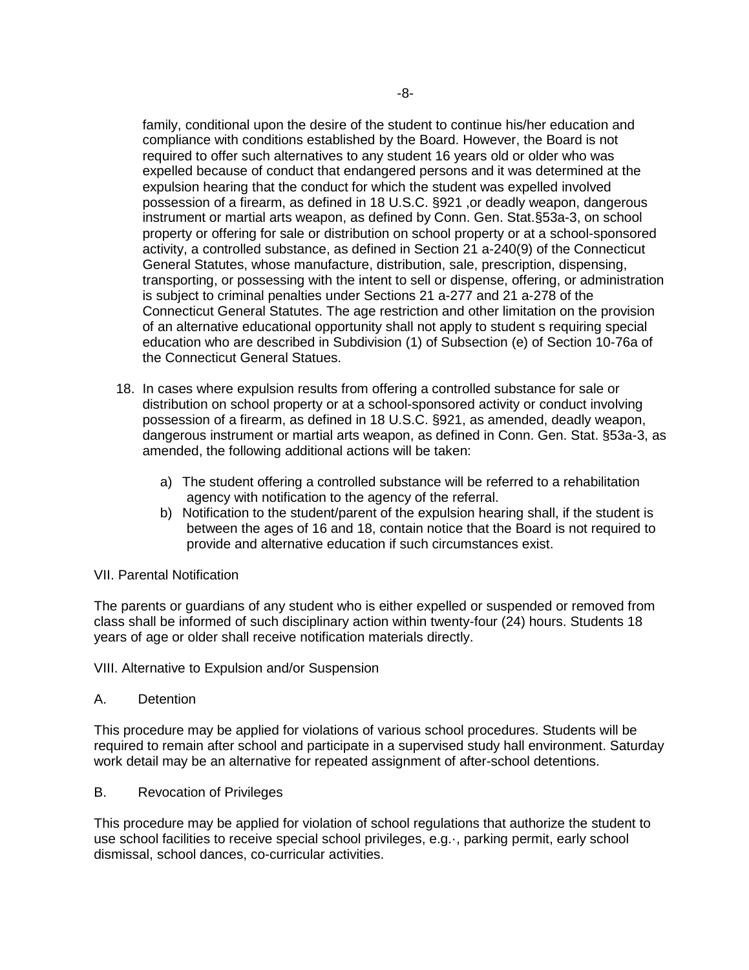family, conditional upon the desire of the student to continue his/her education and compliance with conditions established by the Board. However, the Board is not required to offer such alternatives to any student 16 years old or older who was expelled because of conduct that endangered persons and it was determined at the expulsion hearing that the conduct for which the student was expelled involved possession of a firearm, as defined in 18 U.S.C. §921 ,or deadly weapon, dangerous instrument or martial arts weapon, as defined by Conn. Gen. Stat.§53a-3, on school property or offering for sale or distribution on school property or at a school-sponsored activity, a controlled substance, as defined in Section 21 a-240(9) of the Connecticut General Statutes, whose manufacture, distribution, sale, prescription, dispensing, transporting, or possessing with the intent to sell or dispense, offering, or administration is subject to criminal penalties under Sections 21 a-277 and 21 a-278 of the Connecticut General Statutes. The age restriction and other limitation on the provision of an alternative educational opportunity shall not apply to student s requiring special education who are described in Subdivision (1) of Subsection (e) of Section 10-76a of the Connecticut General Statues.

- 18. In cases where expulsion results from offering a controlled substance for sale or distribution on school property or at a school-sponsored activity or conduct involving possession of a firearm, as defined in 18 U.S.C. §921, as amended, deadly weapon, dangerous instrument or martial arts weapon, as defined in Conn. Gen. Stat. §53a-3, as amended, the following additional actions will be taken:
	- a) The student offering a controlled substance will be referred to a rehabilitation agency with notification to the agency of the referral.
	- b) Notification to the student/parent of the expulsion hearing shall, if the student is between the ages of 16 and 18, contain notice that the Board is not required to provide and alternative education if such circumstances exist.

# VII. Parental Notification

The parents or guardians of any student who is either expelled or suspended or removed from class shall be informed of such disciplinary action within twenty-four (24) hours. Students 18 years of age or older shall receive notification materials directly.

VIII. Alternative to Expulsion and/or Suspension

# A. Detention

This procedure may be applied for violations of various school procedures. Students will be required to remain after school and participate in a supervised study hall environment. Saturday work detail may be an alternative for repeated assignment of after-school detentions.

B. Revocation of Privileges

This procedure may be applied for violation of school regulations that authorize the student to use school facilities to receive special school privileges, e.g.·, parking permit, early school dismissal, school dances, co-curricular activities.